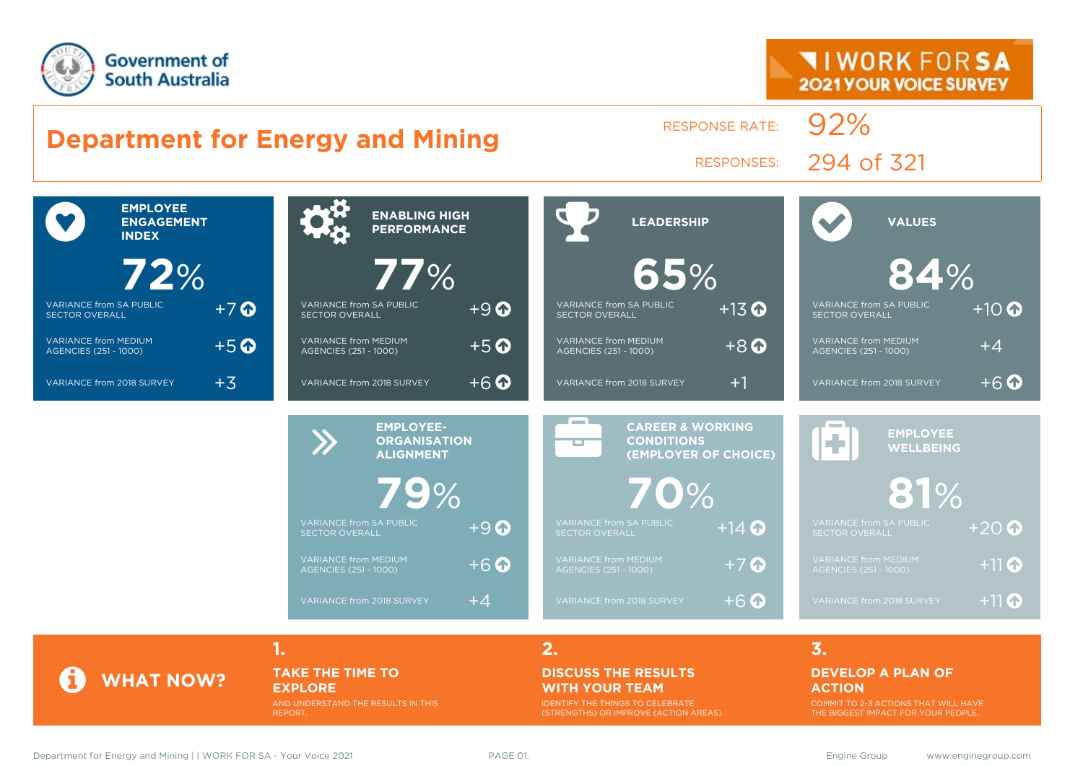

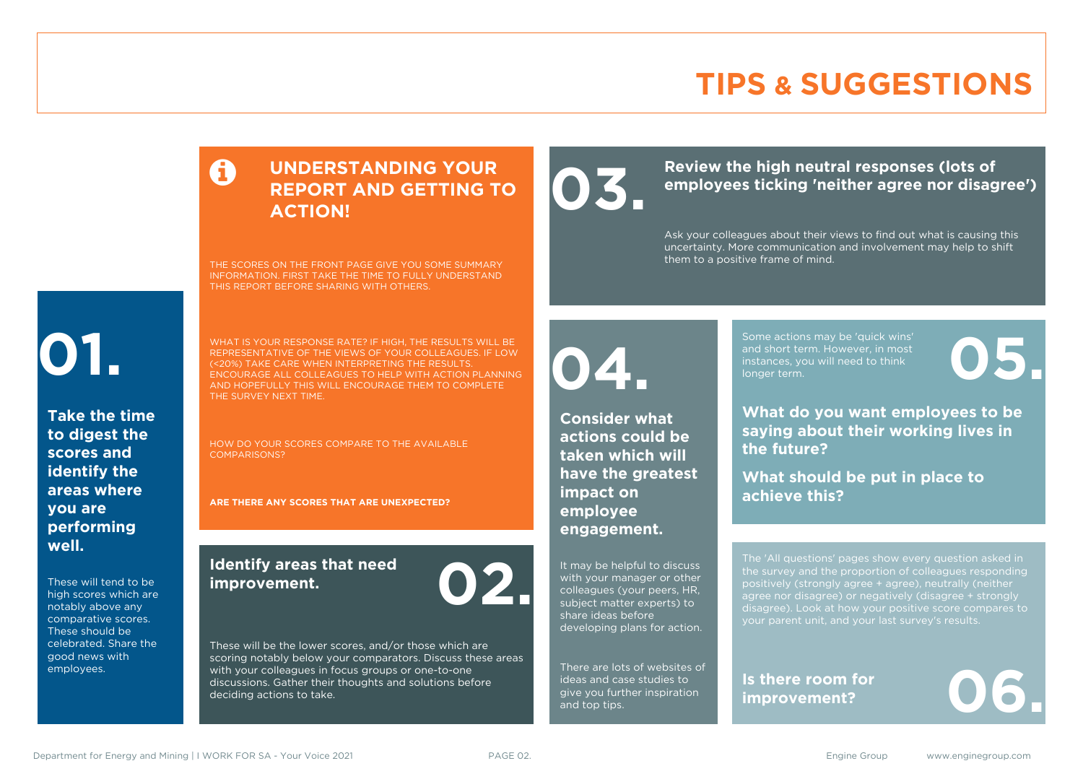# **TIPS & SUGGESTIONS**

### **UNDERSTANDING YOUR REPORT AND GETTING TO ACTION!**

THE SCORES ON THE FRONT PAGE GIVE YOU SOME SUMMARY INFORMATION. FIRST TAKE THE TIME TO FULLY UNDERSTAND THIS REPORT BEFORE SHARING WITH OTHERS.

# **01.**

**Take the time to digest the scores and identify the areas where you are performing well.**

These will tend to be high scores which are notably above any comparative scores. These should be celebrated. Share the good news with employees.

WHAT IS YOUR RESPONSE RATE? IF HIGH, THE RESULTS WILL BE REPRESENTATIVE OF THE VIEWS OF YOUR COLLEAGUES. IF LOW (<20%) TAKE CARE WHEN INTERPRETING THE RESULTS. ENCOURAGE ALL COLLEAGUES TO HELP WITH ACTION PLANNING AND HOPEFULLY THIS WILL ENCOURAGE THEM TO COMPLETE THE SURVEY NEXT TIME.

HOW DO YOUR SCORES COMPARE TO THE AVAILABLE COMPARISONS?

**ARE THERE ANY SCORES THAT ARE UNEXPECTED?**

### **Identify areas that need improvement. 02.**

These will be the lower scores, and/or those which are scoring notably below your comparators. Discuss these areas with your colleagues in focus groups or one-to-one discussions. Gather their thoughts and solutions before deciding actions to take.

Review the high neutral responses (lots of employees ticking 'neither agree nor disag **employees ticking 'neither agree nor disagree')**

> Ask your colleagues about their views to find out what is causing this uncertainty. More communication and involvement may help to shift them to a positive frame of mind.

**04.**

**Consider what actions could be taken which will have the greatest impact on employee engagement.**

It may be helpful to discuss with your manager or other colleagues (your peers, HR, subject matter experts) to share ideas before developing plans for action.

There are lots of websites of ideas and case studies to give you further inspiration and top tips.

Some actions may be 'quick wins' and short term. However, in most instances, you will need to think Some actions may be 'quick wins'<br>and short term. However, in most<br>instances, you will need to think<br>longer term.

**What do you want employees to be saying about their working lives in the future?**

**What should be put in place to achieve this?**

The 'All questions' pages show every question asked in positively (strongly agree + agree), neutrally (neither agree nor disagree) or negatively (disagree + strongly disagree). Look at how your positive score compares to your parent unit, and your last survey's results.

**Is there room for**  Is there room for<br>improvement?

Department for Energy and Mining | I WORK FOR SA - Your Voice 2021 **PAGE 02.** PAGE 02. Engine Group www.enginegroup.com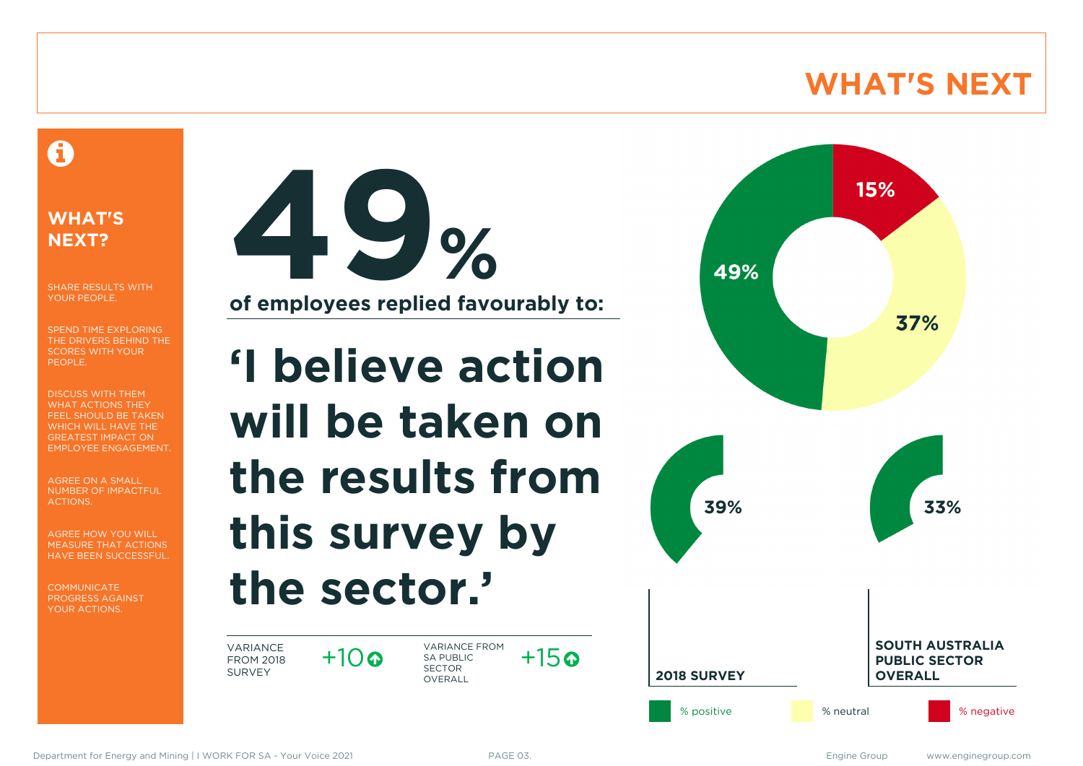# **WHAT'S NEXT**

### A

### **WHAT'S NEXT?**

SHARE RESULTS WITH YOUR PEOPLE.

SPEND TIME EXPLORING THE DRIVERS BEHIND THE SCORES WITH YOUR PEOPLE.

DISCUSS WITH THEM WHAT ACTIONS THEY FEEL SHOULD BE TAKEN WHICH WILL HAVE THE GREATEST IMPACT ON EMPLOYEE ENGAGEMENT.

AGREE ON A SMALL NUMBER OF IMPACTFUL ACTIONS.

AGREE HOW YOU WILL MEASURE THAT ACTIONS HAVE BEEN SUCCESSFUL.

**COMMUNICATE** PROGRESS AGAINST YOUR ACTIONS.



**'I believe action will be taken on the results from this survey by the sector.'**

VARIANCE FROM 2018 SURVEY

 $+10$ 

VARIANCE FROM SA PUBLIC SECTOR **OVERALL**  $+15$ 

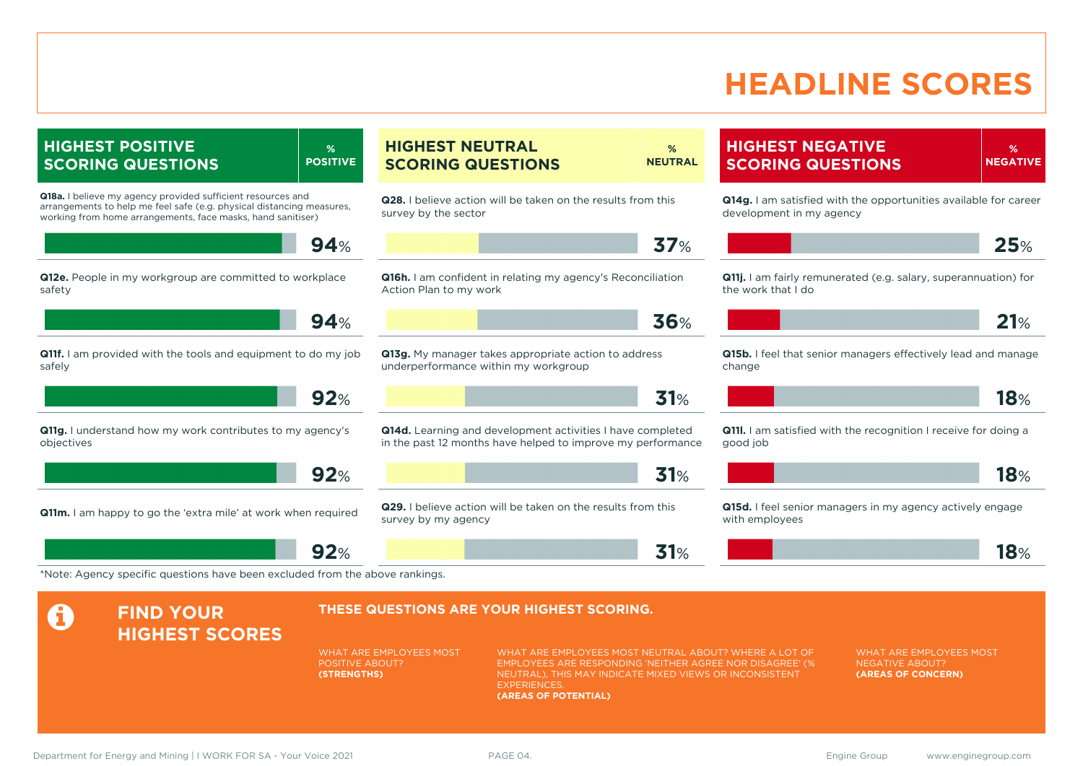# **HEADLINE SCORES**

**HIGHEST POSITIVE SCORING QUESTIONS % POSITIVE Q18a.** I believe my agency provided sufficient resources and arrangements to help me feel safe (e.g. physical distancing measures, working from home arrangements, face masks, hand sanitiser) **94**% **Q12e.** People in my workgroup are committed to workplace safety **94**% **Q11f.** I am provided with the tools and equipment to do my job safely **92**% **Q11g.** I understand how my work contributes to my agency's objectives **92**% **Q11m.** I am happy to go the 'extra mile' at work when required **92**% **HIGHEST NEUTRAL SCORING QUESTIONS % NEUTRAL Q28.** I believe action will be taken on the results from this survey by the sector **37**% **Q16h.** I am confident in relating my agency's Reconciliation Action Plan to my work **36**% **Q13g.** My manager takes appropriate action to address underperformance within my workgroup **31**% **Q14d.** Learning and development activities I have completed in the past 12 months have helped to improve my performance **31**% **Q29.** I believe action will be taken on the results from this survey by my agency **31**% **HIGHEST NEGATIVE SCORING QUESTIONS % NEGATIVE Q14g.** I am satisfied with the opportunities available for career development in my agency **25**% **Q11i.** I am fairly remunerated (e.g. salary, superannuation) for the work that I do **21**% **Q15b.** I feel that senior managers effectively lead and manage change **18**% **Q11l.** I am satisfied with the recognition I receive for doing a good job **18**% **Q15d.** I feel senior managers in my agency actively engage with employees **18**% \*Note: Agency specific questions have been excluded from the above rankings. **A** FIND YOUR **HIGHEST SCORES THESE QUESTIONS ARE YOUR HIGHEST SCORING.** WHAT ARE EMPLOYEES MOST POSITIVE ABOUT? **(STRENGTHS)** WHAT ARE EMPLOYEES MOST NEUTRAL ABOUT? WHERE A LOT OF EMPLOYEES ARE RESPONDING 'NEITHER AGREE NOR DISAGREE' (% NEUTRAL), THIS MAY INDICATE MIXED VIEWS OR INCONSISTENT **EXPERIENCES (AREAS OF POTENTIAL)** WHAT ARE EMPLOYEES MOST NEGATIVE ABOUT? **(AREAS OF CONCERN)**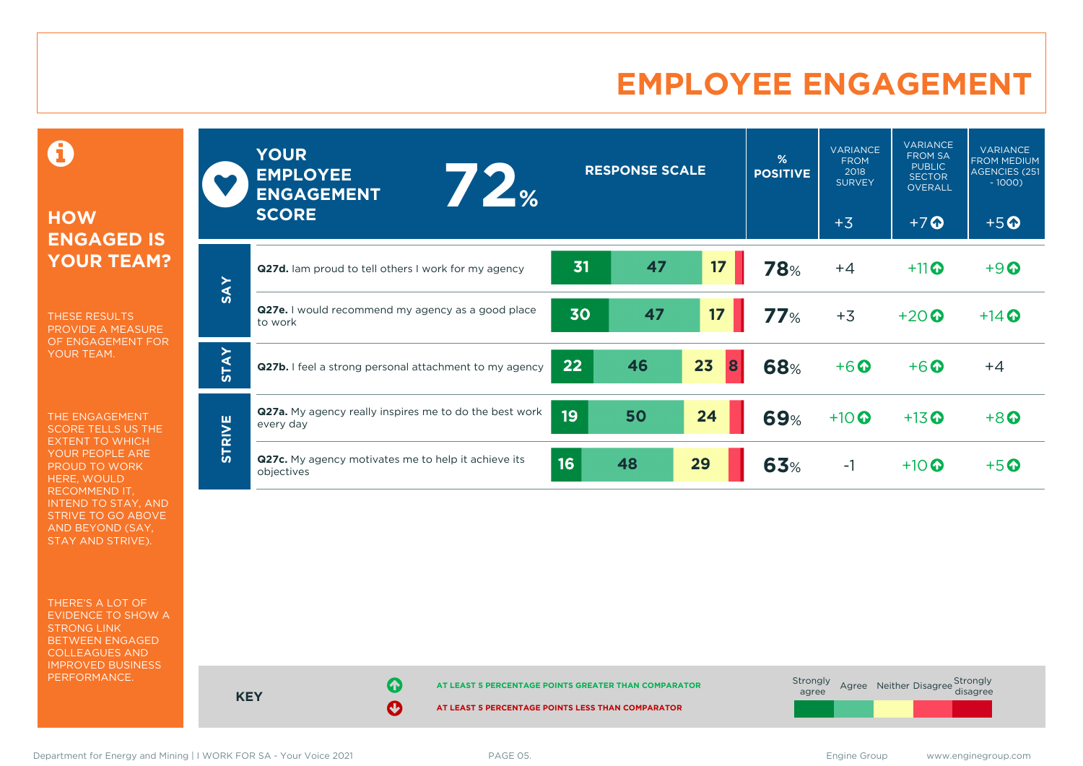# **EMPLOYEE ENGAGEMENT**

**HOW ENGAGED IS YOUR TEAM? SCORE**

THESE RESULTS PROVIDE A MEASURE OF ENGAGEMENT FOR YOUR TEAM.

0

THE ENGAGEMENT SCORE TELLS US THE EXTENT TO WHICH YOUR PEOPLE ARE PROUD TO WORK HERE, WOULD RECOMMEND IT, INTEND TO STAY, AND STRIVE TO GO ABOVE AND BEYOND (SAY, STAY AND STRIVE).

THERE'S A LOT OF EVIDENCE TO SHOW A STRONG LINK BETWEEN ENGAGED COLLEAGUES AND IMPROVED BUSINESS PERFORMANCE.

|               | <b>YOUR</b><br><b>EMPLOYEE</b><br>$\frac{1}{2}$<br><b>ENGAGEMENT</b><br><b>SCORE</b> |    | <b>RESPONSE SCALE</b> |         | %<br><b>POSITIVE</b> | <b>VARIANCE</b><br><b>FROM</b><br>2018<br><b>SURVEY</b><br>$+3$ | <b>VARIANCE</b><br><b>FROM SA</b><br><b>PUBLIC</b><br><b>SECTOR</b><br><b>OVERALL</b><br>$+7$ <sup>O</sup> | <b>VARIANCE</b><br><b>FROM MEDIUM</b><br><b>AGENCIES (251</b><br>$-1000$<br>$+5$ <sup>O</sup> |
|---------------|--------------------------------------------------------------------------------------|----|-----------------------|---------|----------------------|-----------------------------------------------------------------|------------------------------------------------------------------------------------------------------------|-----------------------------------------------------------------------------------------------|
|               | <b>Q27d.</b> Iam proud to tell others I work for my agency                           | 31 | 47                    | 17      | <b>78%</b>           | $+4$                                                            | $+11$ <sup>O</sup>                                                                                         | $+9$                                                                                          |
| <b>SAY</b>    | <b>Q27e.</b> I would recommend my agency as a good place<br>to work                  | 30 | 47                    | 17      | 77%                  | $+3$                                                            | $+20$                                                                                                      | $+14$ $\odot$                                                                                 |
| <b>STAY</b>   | Q27b. I feel a strong personal attachment to my agency                               | 22 | 46                    | 23<br>8 | <b>68%</b>           | $+6$ <sup>O</sup>                                               | $+6$ $\odot$                                                                                               | $+4$                                                                                          |
| <b>STRIVE</b> | <b>Q27a.</b> My agency really inspires me to do the best work<br>every day           | 19 | 50                    | 24      | <b>69%</b>           | $+10$ <sup>O</sup>                                              | $+13$ <sup>O</sup>                                                                                         | $+8$                                                                                          |
|               | Q27c. My agency motivates me to help it achieve its<br>objectives                    | 16 | 48                    | 29      | 63%                  | $-1$                                                            | $+10$ $\odot$                                                                                              | $+5$ $\odot$                                                                                  |

**KEY AT LEAST 5 PERCENTAGE POINTS GREATER THAN COMPARATOR AT LEAST 5 PERCENTAGE POINTS LESS THAN COMPARATOR** Strongly agree Agree Neither Disagree Strongly<br>disagree

Department for Energy and Mining | I WORK FOR SA - Your Voice 2021 **PAGE 05.** PAGE 05. Engine Group www.enginegroup.com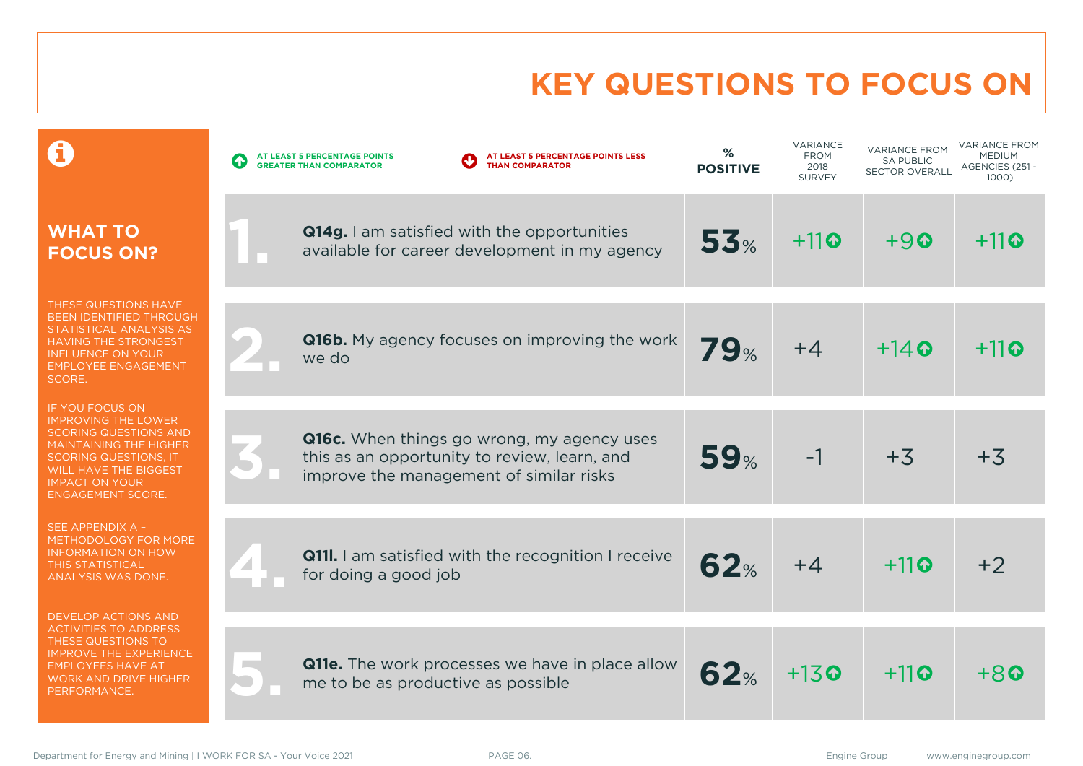# **KEY QUESTIONS TO FOCUS ON**

|                                                                                                                                                                                                                                            | AT LEAST 5 PERCENTAGE POINTS LESS<br>AT LEAST 5 PERCENTAGE POINTS<br><b>THAN COMPARATOR</b><br><b>GREATER THAN COMPARATOR</b>         | %<br><b>POSITIVE</b> | VARIANCE<br><b>FROM</b><br>2018<br><b>SURVEY</b> | <b>VARIANCE FROM</b><br><b>SA PUBLIC</b><br><b>SECTOR OVERALL</b> | <b>VARIANCE FROM</b><br><b>MEDIUM</b><br>AGENCIES (251 -<br>1000) |
|--------------------------------------------------------------------------------------------------------------------------------------------------------------------------------------------------------------------------------------------|---------------------------------------------------------------------------------------------------------------------------------------|----------------------|--------------------------------------------------|-------------------------------------------------------------------|-------------------------------------------------------------------|
| <b>WHAT TO</b><br><b>FOCUS ON?</b>                                                                                                                                                                                                         | Q14g. I am satisfied with the opportunities<br>available for career development in my agency                                          | 53%                  | $+11$ <sup>o</sup>                               | $+9$                                                              | $+11$                                                             |
| THESE QUESTIONS HAVE<br>BEEN IDENTIFIED THROUGH<br>STATISTICAL ANALYSIS AS<br><b>HAVING THE STRONGEST</b><br><b>INFLUENCE ON YOUR</b><br><b>EMPLOYEE ENGAGEMENT</b><br>SCORE.                                                              | <b>Q16b.</b> My agency focuses on improving the work<br>we do                                                                         | <b>79%</b>           | $+4$                                             | $+14$ <sup><math>\odot</math></sup>                               | $+11$ o                                                           |
| <b>IF YOU FOCUS ON</b><br><b>IMPROVING THE LOWER</b><br><b>SCORING QUESTIONS AND</b><br><b>MAINTAINING THE HIGHER</b><br><b>SCORING QUESTIONS, IT</b><br><b>WILL HAVE THE BIGGEST</b><br><b>IMPACT ON YOUR</b><br><b>ENGAGEMENT SCORE.</b> | Q16c. When things go wrong, my agency uses<br>this as an opportunity to review, learn, and<br>improve the management of similar risks | 59%                  | $-1$                                             | $+3$                                                              | $+3$                                                              |
| SEE APPENDIX A -<br>METHODOLOGY FOR MORE<br><b>INFORMATION ON HOW</b><br><b>THIS STATISTICAL</b><br>ANALYSIS WAS DONE.                                                                                                                     | <b>Q11I.</b> I am satisfied with the recognition I receive<br>for doing a good job                                                    | 62%                  | $+4$                                             | $+11$ <sup>o</sup>                                                | $+2$                                                              |
| <b>DEVELOP ACTIONS AND</b><br><b>ACTIVITIES TO ADDRESS</b><br>THESE QUESTIONS TO<br><b>IMPROVE THE EXPERIENCE</b><br><b>EMPLOYEES HAVE AT</b><br><b>WORK AND DRIVE HIGHER</b><br>PERFORMANCE.                                              | <b>Q11e.</b> The work processes we have in place allow<br>me to be as productive as possible                                          | 62%                  | $+13$ <sup><math>\odot</math></sup>              | $+11$                                                             | $+8$                                                              |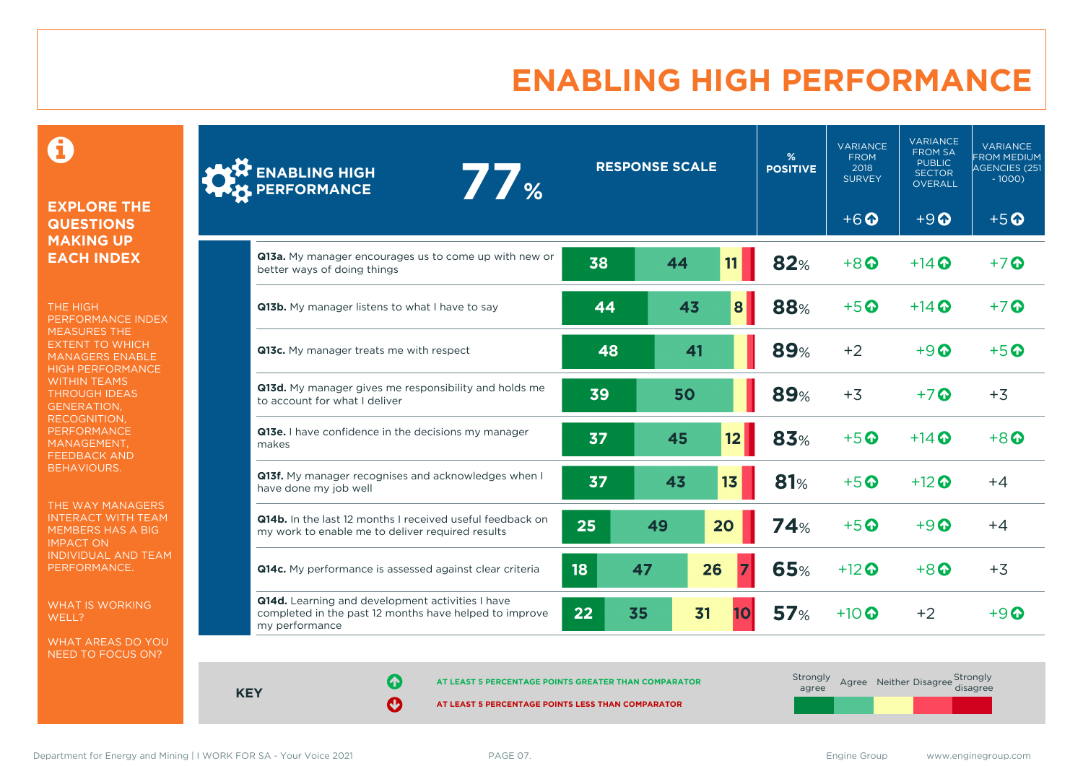# **ENABLING HIGH PERFORMANCE**

 $\mathbf \Theta$ 

#### **EXPLORE THE QUESTIONS MAKING UP EACH INDEX**

THE HIGH PERFORMANCE INDEX MEASURES THE EXTENT TO WHICH MANAGERS ENABLE HIGH PERFORMANCE WITHIN TEAMS THROUGH IDEAS GENERATION, RECOGNITION, **PERFORMANCE** MANAGEMENT, FEEDBACK AND BEHAVIOURS.

THE WAY MANAGERS INTERACT WITH TEAM MEMBERS HAS A BIG IMPACT ON INDIVIDUAL AND TEAM PERFORMANCE.

WHAT IS WORKING WELL?

WHAT AREAS DO YOU NEED TO FOCUS ON?

| <b>ENABLING HIGH<br/>PERFORMANCE</b><br>77 <sub></sub>                                                                       |    | <b>RESPONSE SCALE</b> |    | %<br><b>POSITIVE</b> | <b>VARIANCE</b><br><b>FROM</b><br>2018<br><b>SURVEY</b> | <b>VARIANCE</b><br><b>FROM SA</b><br><b>PUBLIC</b><br><b>SECTOR</b><br>OVERALL | <b>VARIANCE</b><br><b>FROM MEDIUM</b><br><b>AGENCIES (251</b><br>$-1000$ ) |
|------------------------------------------------------------------------------------------------------------------------------|----|-----------------------|----|----------------------|---------------------------------------------------------|--------------------------------------------------------------------------------|----------------------------------------------------------------------------|
|                                                                                                                              |    |                       |    |                      | $+6$ <sup><math>\odot</math></sup>                      | $+9$ <sup><math>\Omega</math></sup>                                            | $+5$ <sup><math>\odot</math></sup>                                         |
| <b>Q13a.</b> My manager encourages us to come up with new or<br>better ways of doing things                                  | 38 | 44                    | 11 | 82%                  | $+8$ <sup><math>\odot</math></sup>                      | $+14$ $\odot$                                                                  | $+7$ $\odot$                                                               |
| Q13b. My manager listens to what I have to say                                                                               | 44 | 43                    | 8  | 88%                  | $+5$ <sup>O</sup>                                       | $+14$ $\odot$                                                                  | $+7$ $\odot$                                                               |
| Q13c. My manager treats me with respect                                                                                      | 48 | 41                    |    | <b>89%</b>           | $+2$                                                    | $+9$ $\odot$                                                                   | $+5$ <sup><math>\odot</math></sup>                                         |
| Q13d. My manager gives me responsibility and holds me<br>to account for what I deliver                                       | 39 | 50                    |    | <b>89%</b>           | $+3$                                                    | $+7$ $\odot$                                                                   | $+3$                                                                       |
| Q13e. I have confidence in the decisions my manager<br>makes                                                                 | 37 | 45                    | 12 | 83%                  | $+5$ $\odot$                                            | $+14$ $\odot$                                                                  | $+8$ <sup><math>\Omega</math></sup>                                        |
| Q13f. My manager recognises and acknowledges when I<br>have done my job well                                                 | 37 | 43                    | 13 | <b>81%</b>           | $+5$ <sup>O</sup>                                       | $+12$ <sup>O</sup>                                                             | $+4$                                                                       |
| Q14b. In the last 12 months I received useful feedback on<br>my work to enable me to deliver required results                | 25 | 49                    | 20 | 74%                  | $+5$ $\odot$                                            | $+9$ $\odot$                                                                   | $+4$                                                                       |
| Q14c. My performance is assessed against clear criteria                                                                      | 18 | 47                    | 26 | 65%                  | $+12$ <sup><math>\odot</math></sup>                     | $+8$ <sup><math>\odot</math></sup>                                             | $+3$                                                                       |
| Q14d. Learning and development activities I have<br>completed in the past 12 months have helped to improve<br>my performance | 22 | 35                    | 31 | 57 <sub>%</sub>      | $+10$ $\odot$                                           | $+2$                                                                           | $+9$ $\Omega$                                                              |

**KEY**

**AT LEAST 5 PERCENTAGE POINTS GREATER THAN COMPARATOR** 

| Strongly<br>agree |  | Agree Neither Disagree Strongly<br>disagree |
|-------------------|--|---------------------------------------------|
|                   |  |                                             |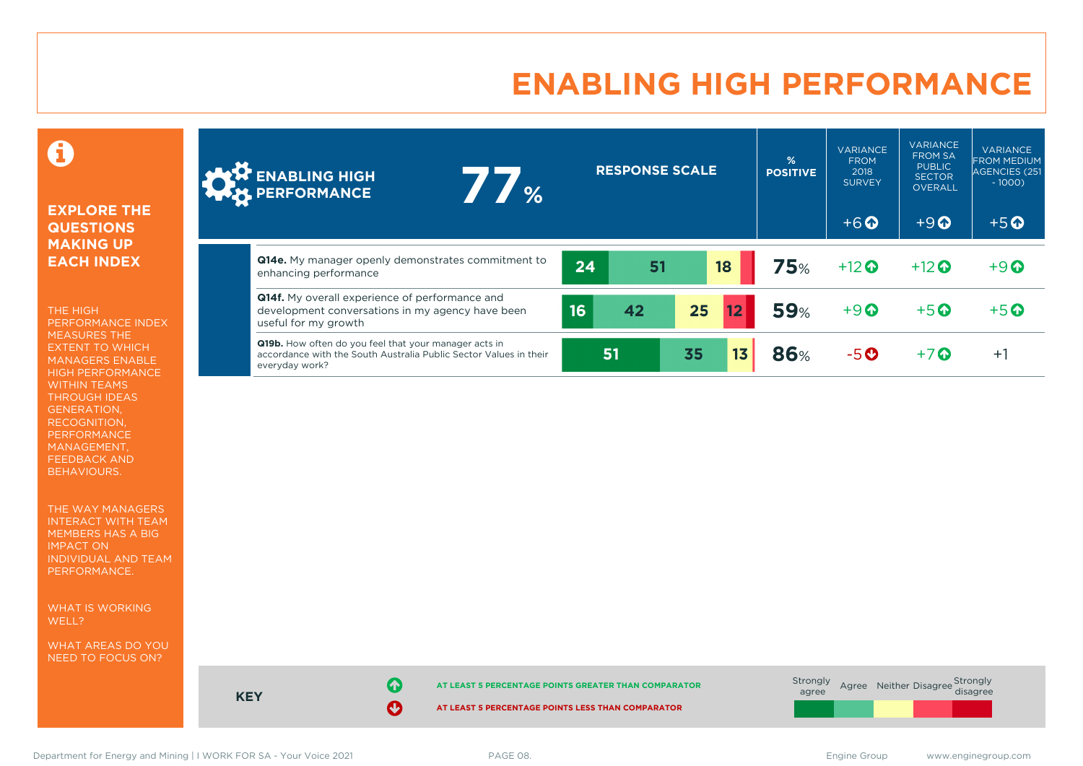# **ENABLING HIGH PERFORMANCE**

0

#### **EXPLORE THE QUESTIONS MAKING UP EACH INDEX**

THE HIGH PERFORMANCE INDEX MEASURES THE EXTENT TO WHICH MANAGERS ENABLE HIGH PERFORMANCE WITHIN TEAMS THROUGH IDEAS GENERATION, RECOGNITION, PERFORMANCE MANAGEMENT, FEEDBACK AND BEHAVIOURS.

THE WAY MANAGERS INTERACT WITH TEAM MEMBERS HAS A BIG IMPACT ON INDIVIDUAL AND TEAM PERFORMANCE.

WHAT IS WORKING WELL?

WHAT AREAS DO YOU NEED TO FOCUS ON?

| <b>A ENABLING HIGH</b><br>$\frac{1}{2}$<br><b>WERE PERFORMANCE</b>                                                                                  | <b>RESPONSE SCALE</b> |    |    | %<br><b>POSITIVE</b> | <b>VARIANCE</b><br><b>FROM</b><br>2018<br><b>SURVEY</b> | <b>VARIANCE</b><br><b>FROM SA</b><br><b>PUBLIC</b><br><b>SECTOR</b><br><b>OVERALL</b> | <b>VARIANCE</b><br><b>FROM MEDIUM</b><br>AGENCIES (251<br>$-1000$ |                                    |
|-----------------------------------------------------------------------------------------------------------------------------------------------------|-----------------------|----|----|----------------------|---------------------------------------------------------|---------------------------------------------------------------------------------------|-------------------------------------------------------------------|------------------------------------|
|                                                                                                                                                     |                       |    |    |                      |                                                         | $+6$ $\odot$                                                                          | $+9$ <sup><math>\Omega</math></sup>                               | $+5$ <sup><math>\odot</math></sup> |
| Q14e. My manager openly demonstrates commitment to<br>enhancing performance                                                                         | 24                    | 51 |    | 18                   | 75%                                                     | $+12$ $\odot$                                                                         | $+12$ $\odot$                                                     | $+9$ <sup><math>\odot</math></sup> |
| <b>Q14f.</b> My overall experience of performance and<br>development conversations in my agency have been<br>useful for my growth                   | 16                    | 42 | 25 |                      | <b>59%</b>                                              | $+9$                                                                                  | $+5$ $\odot$                                                      | $+5$ $\odot$                       |
| <b>Q19b.</b> How often do you feel that your manager acts in<br>accordance with the South Australia Public Sector Values in their<br>everyday work? |                       | 51 | 35 | 13                   | <b>86%</b>                                              | $-5o$                                                                                 | $+7$ $\odot$                                                      | $+1$                               |



Department for Energy and Mining | I WORK FOR SA - Your Voice 2021 **PAGE 08.** PAGE 08. Engine Group www.enginegroup.com

**KEY**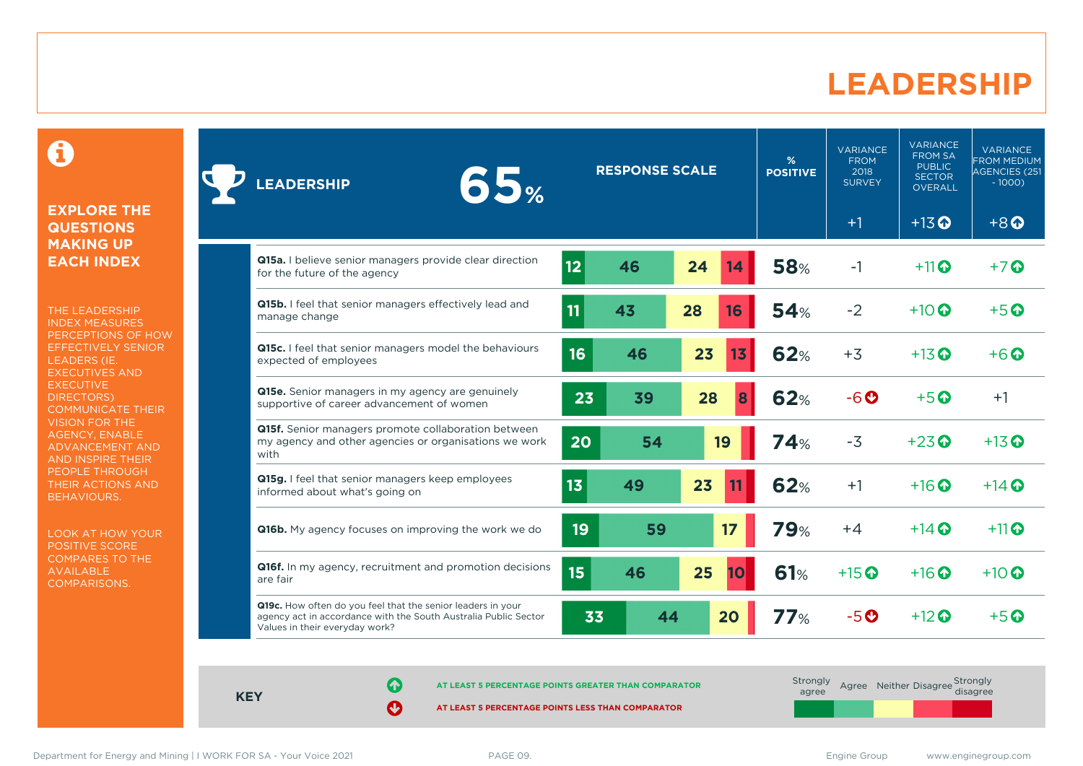### **LEADERSHIP**

0

#### **EXPLORE THE QUESTIONS MAKING UP EACH INDEX**

THE LEADERSHIP INDEX MEASURES PERCEPTIONS OF HOW EFFECTIVELY SENIOR LEADERS (IE. EXECUTIVES AND **EXECUTIVE** DIRECTORS) COMMUNICATE THEIR VISION FOR THE AGENCY, ENABLE ADVANCEMENT AND AND INSPIRE THEIR PEOPLE THROUGH THEIR ACTIONS AND BEHAVIOURS.

LOOK AT HOW YOUR POSITIVE SCORE COMPARES TO THE AVAILABLE COMPARISONS.

| 65%<br><b>EADERSHIP</b>                                                                                                                                          |                 | <b>RESPONSE SCALE</b> |          | %<br><b>POSITIVE</b> | <b>VARIANCE</b><br><b>FROM</b><br>2018<br><b>SURVEY</b> | <b>VARIANCE</b><br><b>FROM SA</b><br><b>PUBLIC</b><br><b>SECTOR</b><br><b>OVERALL</b> | <b>VARIANCE</b><br><b>FROM MEDIUM</b><br>AGENCIES (251<br>$-1000$ |
|------------------------------------------------------------------------------------------------------------------------------------------------------------------|-----------------|-----------------------|----------|----------------------|---------------------------------------------------------|---------------------------------------------------------------------------------------|-------------------------------------------------------------------|
|                                                                                                                                                                  |                 |                       |          |                      | $+1$                                                    | $+13$ <sup>O</sup>                                                                    | $+8$ <sup><math>\odot</math></sup>                                |
| Q15a. I believe senior managers provide clear direction<br>for the future of the agency                                                                          | 12              | 46                    | 24<br>14 | <b>58%</b>           | $-1$                                                    | $+11$                                                                                 | $+7$ $\odot$                                                      |
| Q15b. I feel that senior managers effectively lead and<br>manage change                                                                                          | 11              | 43                    | 28<br>16 | 54%                  | $-2$                                                    | $+10$ $\odot$                                                                         | $+5$ $\odot$                                                      |
| Q15c. I feel that senior managers model the behaviours<br>expected of employees                                                                                  | 16              | 46                    | 23<br>13 | <b>62%</b>           | $+3$                                                    | $+13$ $\odot$                                                                         | $+6\Omega$                                                        |
| <b>Q15e.</b> Senior managers in my agency are genuinely<br>supportive of career advancement of women                                                             | 23              | 39                    | 28<br>8  | <b>62%</b>           | $-6o$                                                   | $+5$ <sup><math>\odot</math></sup>                                                    | $+1$                                                              |
| Q15f. Senior managers promote collaboration between<br>my agency and other agencies or organisations we work<br>with                                             | 20              | 54                    | 19       | 74%                  | $-3$                                                    | $+23$ <sup><math>\odot</math></sup>                                                   | $+13$ <sup>O</sup>                                                |
| Q15g. I feel that senior managers keep employees<br>informed about what's going on                                                                               | 13              | 49                    | 23       | <b>62%</b>           | $+1$                                                    | $+16$ <sup><math>\odot</math></sup>                                                   | $+14$ $\odot$                                                     |
| <b>Q16b.</b> My agency focuses on improving the work we do                                                                                                       | 19 <sup>°</sup> | 59                    | 17       | <b>79%</b>           | $+4$                                                    | $+14$ $\odot$                                                                         | $+11$ <sup><math>\odot</math></sup>                               |
| Q16f. In my agency, recruitment and promotion decisions<br>are fair                                                                                              | 15              | 46                    | 25<br>10 | <b>61%</b>           | $+15$ <sup>O</sup>                                      | $+16$ $\odot$                                                                         | $+10$ $\odot$                                                     |
| Q19c. How often do you feel that the senior leaders in your<br>agency act in accordance with the South Australia Public Sector<br>Values in their everyday work? | 33              | 44                    | 20       | 77%                  | $-5o$                                                   | $+12$ $\odot$                                                                         | $+5$ <sup>O</sup>                                                 |

**KEY**

**AT LEAST 5 PERCENTAGE POINTS GREATER THAN COMPARATOR**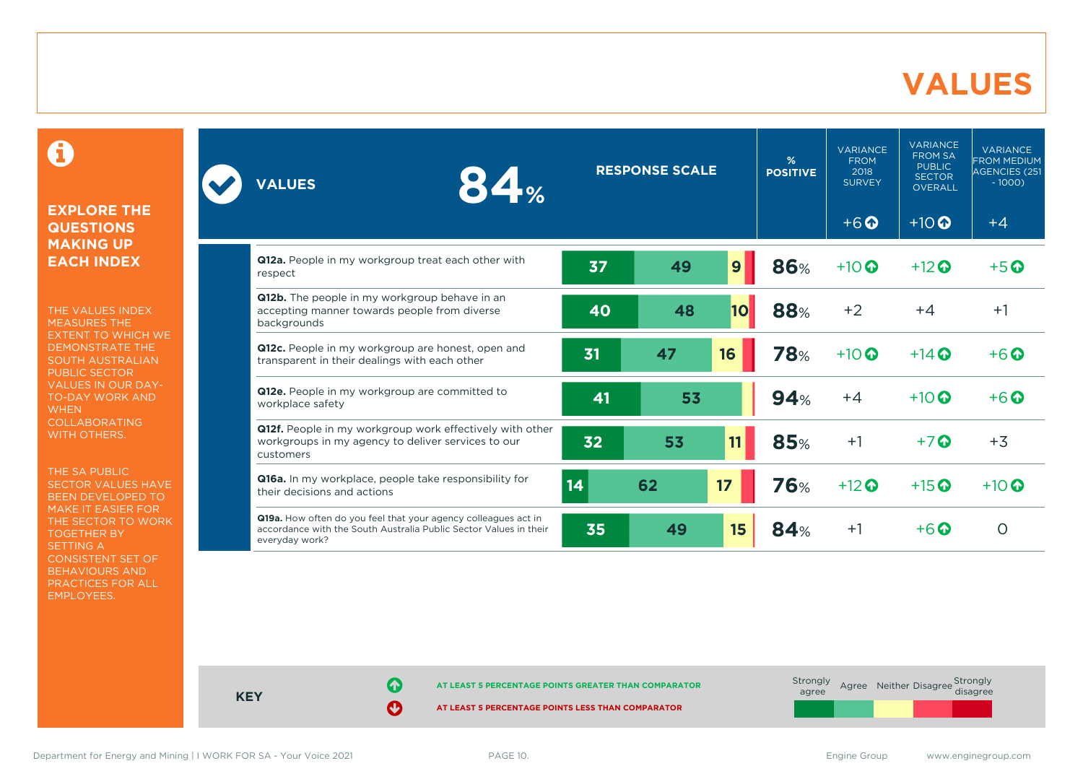### **VALUES**

0

#### **EXPLORE THE QUESTIONS MAKING UP EACH INDEX**

THE VALUES INDEX MEASURES THE EXTENT TO WHICH WE DEMONSTRATE THE SOUTH AUSTRALIAN PUBLIC SECTOR VALUES IN OUR DAY-TO-DAY WORK AND **WHEN** COLLABORATING WITH OTHERS.

THE SA PUBLIC SECTOR VALUES HAVE BEEN DEVELOPED TO MAKE IT EASIER FOR THE SECTOR TO WORK TOGETHER BY SETTING A CONSISTENT SET OF BEHAVIOURS AND PRACTICES FOR ALL EMPLOYEES.

| 84%<br><b>VALUES</b>                                                                                                                                  | <b>RESPONSE SCALE</b> |    | $\frac{9}{6}$<br><b>POSITIVE</b> | <b>VARIANCE</b><br><b>FROM</b><br>2018<br><b>SURVEY</b> | <b>VARIANCE</b><br><b>FROM SA</b><br><b>PUBLIC</b><br><b>SECTOR</b><br><b>OVERALL</b> | <b>VARIANCE</b><br><b>FROM MEDIUM</b><br>AGENCIES (251<br>$-1000$ ) |                    |
|-------------------------------------------------------------------------------------------------------------------------------------------------------|-----------------------|----|----------------------------------|---------------------------------------------------------|---------------------------------------------------------------------------------------|---------------------------------------------------------------------|--------------------|
|                                                                                                                                                       |                       |    |                                  |                                                         | $+6$ <sup><math>\odot</math></sup>                                                    | $+10$ <sup>O</sup>                                                  | $+4$               |
| Q12a. People in my workgroup treat each other with<br>respect                                                                                         | 37                    | 49 | 9                                | 86%                                                     | $+10$                                                                                 | $+12$ <sup>O</sup>                                                  | $+5$ $\odot$       |
| Q12b. The people in my workgroup behave in an<br>accepting manner towards people from diverse<br>backgrounds                                          | 40                    | 48 | 10                               | 88%                                                     | $+2$                                                                                  | $+4$                                                                | $+1$               |
| Q12c. People in my workgroup are honest, open and<br>transparent in their dealings with each other                                                    | 31                    | 47 | 16                               | <b>78%</b>                                              | $+10$                                                                                 | $+14$ $\odot$                                                       | $+6$ $\Omega$      |
| Q12e. People in my workgroup are committed to<br>workplace safety                                                                                     | 41                    | 53 |                                  | 94%                                                     | $+4$                                                                                  | $+10$ $\odot$                                                       | $+6$ $\odot$       |
| Q12f. People in my workgroup work effectively with other<br>workgroups in my agency to deliver services to our<br>customers                           | 32                    | 53 | 11                               | <b>85%</b>                                              | $+1$                                                                                  | $+7$ $\odot$                                                        | $+3$               |
| Q16a. In my workplace, people take responsibility for<br>their decisions and actions                                                                  | 14                    | 62 | 17                               | <b>76%</b>                                              | $+12$                                                                                 | $+15$ <sup>O</sup>                                                  | $+10$ <sup>O</sup> |
| Q19a. How often do you feel that your agency colleagues act in<br>accordance with the South Australia Public Sector Values in their<br>everyday work? | 35                    | 49 | 15                               | 84%                                                     | $+1$                                                                                  | $+6$ $\odot$                                                        | $\circ$            |



**KEY**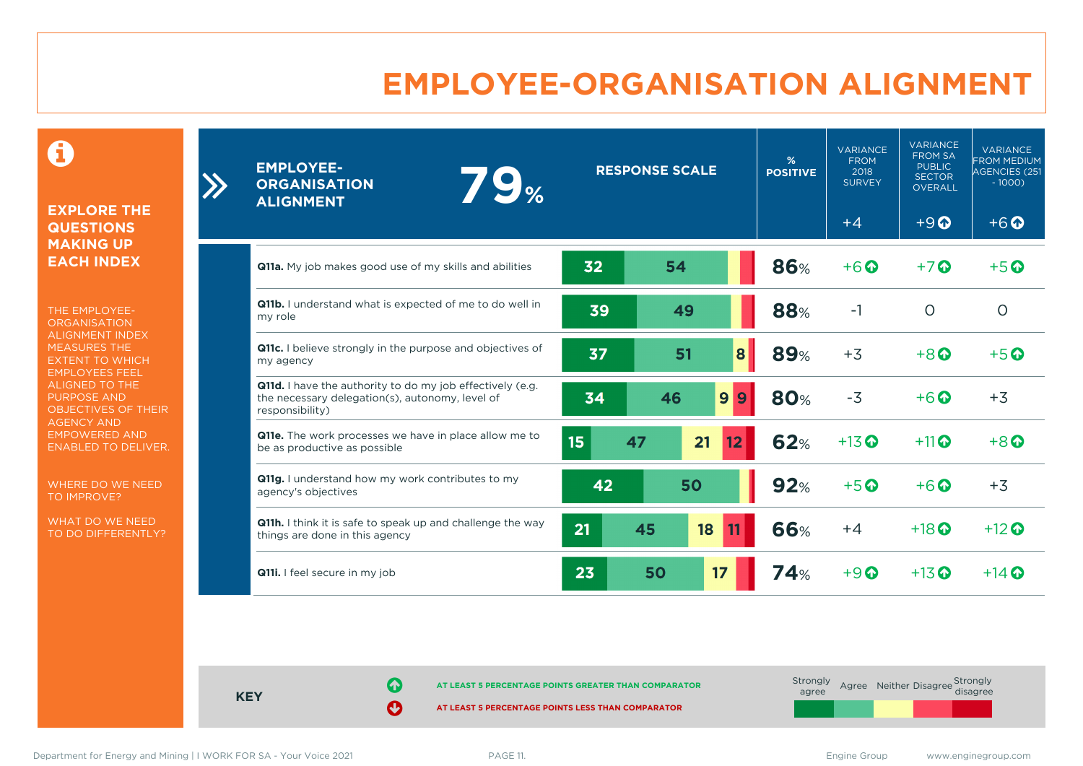# **EMPLOYEE-ORGANISATION ALIGNMENT**

0

#### **EXPLORE THE QUESTIONS MAKING UP EACH INDEX**

 $\sum$ 

THE EMPLOYEE-**ORGANISATION** ALIGNMENT INDEX MEASURES THE EXTENT TO WHICH EMPLOYEES FEEL ALIGNED TO THE PURPOSE AND OBJECTIVES OF THEIR AGENCY AND EMPOWERED AND ENABLED TO DELIVER.

WHERE DO WE NEED TO IMPROVE?

WHAT DO WE NEED TO DO DIFFERENTLY?

| <b>EMPLOYEE-</b><br><b>79%</b><br><b>ORGANISATION</b><br><b>ALIGNMENT</b>                                                       | <b>RESPONSE SCALE</b> |    | %<br><b>POSITIVE</b>  | <b>VARIANCE</b><br><b>FROM</b><br>2018<br><b>SURVEY</b> | <b>VARIANCE</b><br><b>FROM SA</b><br><b>PUBLIC</b><br><b>SECTOR</b><br><b>OVERALL</b> | <b>VARIANCE</b><br><b>FROM MEDIUM</b><br>AGENCIES (251<br>$-1000$ |                                    |
|---------------------------------------------------------------------------------------------------------------------------------|-----------------------|----|-----------------------|---------------------------------------------------------|---------------------------------------------------------------------------------------|-------------------------------------------------------------------|------------------------------------|
|                                                                                                                                 |                       |    |                       |                                                         | $+4$                                                                                  | $+9$ <sup><math>\odot</math></sup>                                | $+6$ <sup><math>\odot</math></sup> |
| <b>Q11a.</b> My job makes good use of my skills and abilities                                                                   | 32                    | 54 |                       | <b>86%</b>                                              | $+6$ <sup>O</sup>                                                                     | $+7$ $\odot$                                                      | $+5$ $\odot$                       |
| Q11b. I understand what is expected of me to do well in<br>my role                                                              | 39                    | 49 |                       | 88%                                                     | $-1$                                                                                  | $\circ$                                                           | $\circ$                            |
| <b>Q11c.</b> I believe strongly in the purpose and objectives of<br>my agency                                                   | 37                    | 51 | 8                     | <b>89%</b>                                              | $+3$                                                                                  | $+8$ $\odot$                                                      | $+5$ $\odot$                       |
| Q11d. I have the authority to do my job effectively (e.g.<br>the necessary delegation(s), autonomy, level of<br>responsibility) | 34                    | 46 | 9<br>9                | <b>80%</b>                                              | $-3$                                                                                  | $+6$ $\odot$                                                      | $+3$                               |
| <b>Q11e.</b> The work processes we have in place allow me to<br>be as productive as possible                                    | 15                    | 47 | 21<br>12 <sub>2</sub> | <b>62%</b>                                              | $+13$ <sup>O</sup>                                                                    | $+11$ $\odot$                                                     | $+8$ $\Omega$                      |
| Q11g. I understand how my work contributes to my<br>agency's objectives                                                         | 42                    |    | 50                    | 92%                                                     | $+5$ <sup>O</sup>                                                                     | $+6$ <sup><math>\odot</math></sup>                                | $+3$                               |
| <b>Q11h.</b> I think it is safe to speak up and challenge the way<br>things are done in this agency                             | 21                    | 45 | 18                    | 66%                                                     | $+4$                                                                                  | $+18$ $\odot$                                                     | $+12$ $\odot$                      |
| Q11i. I feel secure in my job                                                                                                   | 23                    | 50 | 17                    | 74%                                                     | $+9$ <sup><math>\odot</math></sup>                                                    | $+13$ $\odot$                                                     | $+14$ $\odot$                      |

**KEY**

**AT LEAST 5 PERCENTAGE POINTS GREATER THAN COMPARATOR** 

| Strongly<br>agree | Agree Neither Disagree Strongly<br>disagree |  |
|-------------------|---------------------------------------------|--|
|                   |                                             |  |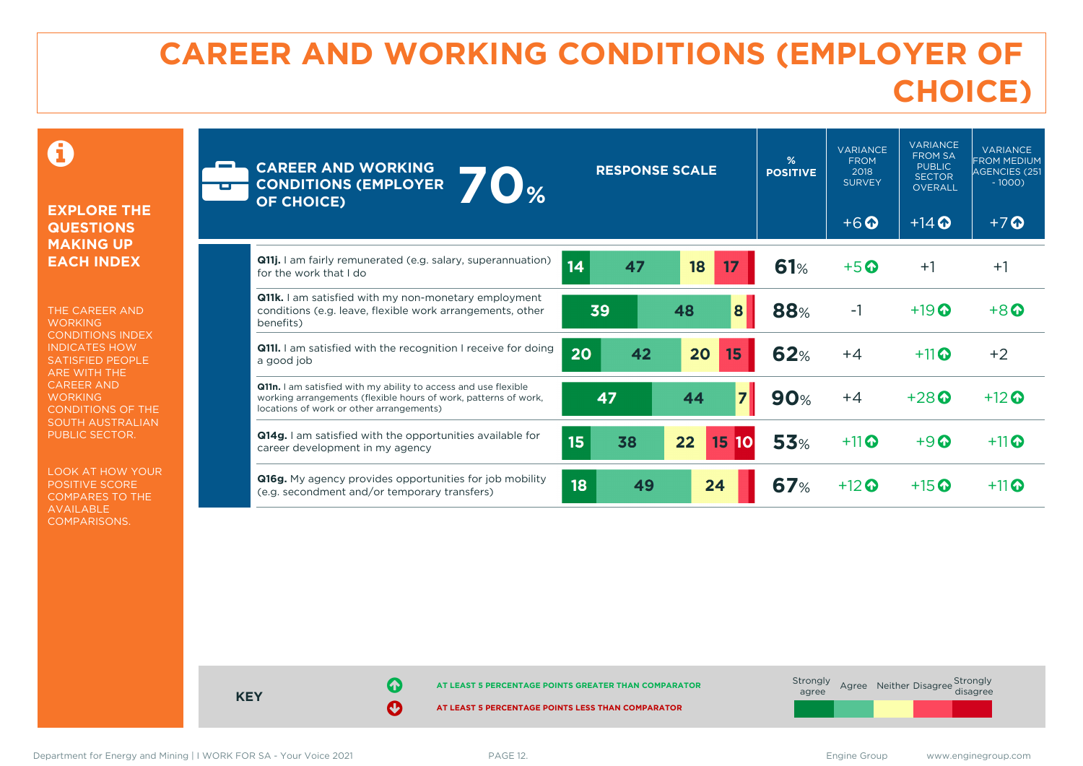# **CAREER AND WORKING CONDITIONS (EMPLOYER OF CHOICE)**

 $\mathbf \Omega$ 

#### **EXPLORE THE QUESTIONS MAKING UP EACH INDEX**

THE CAREER AND **WORKING** CONDITIONS INDEX INDICATES HOW SATISFIED PEOPLE ARE WITH THE CAREER AND **WORKING** CONDITIONS OF THE SOUTH AUSTRALIAN PUBLIC SECTOR.

LOOK AT HOW YOUR POSITIVE SCORE COMPARES TO THE AVAILABLE COMPARISONS.

| Ē | <b>CAREER AND WORKING</b><br>$\overline{\bullet}_{\%}$<br><b>CONDITIONS (EMPLOYER</b><br><b>OF CHOICE)</b>                                                                     | <b>RESPONSE SCALE</b> | %<br><b>POSITIVE</b> | <b>VARIANCE</b><br><b>FROM</b><br>2018<br><b>SURVEY</b><br>$+6$ $\Omega$ | <b>VARIANCE</b><br><b>FROM SA</b><br><b>PUBLIC</b><br><b>SECTOR</b><br><b>OVERALL</b><br>$+14$ $\odot$ | <b>VARIANCE</b><br><b>FROM MEDIUM</b><br><b>AGENCIES (251</b><br>$-1000$<br>$+7$ $\odot$ |                   |
|---|--------------------------------------------------------------------------------------------------------------------------------------------------------------------------------|-----------------------|----------------------|--------------------------------------------------------------------------|--------------------------------------------------------------------------------------------------------|------------------------------------------------------------------------------------------|-------------------|
|   | Q11j. I am fairly remunerated (e.g. salary, superannuation)<br>for the work that I do                                                                                          | 14<br>47              | 18<br>17             | 61%                                                                      | $+5$ $\odot$                                                                                           | $+1$                                                                                     | $+1$              |
|   | <b>Q11k.</b> I am satisfied with my non-monetary employment<br>conditions (e.g. leave, flexible work arrangements, other<br>benefits)                                          | 39                    | 8<br>48              | <b>88%</b>                                                               | $-1$                                                                                                   | $+19$ <sup>O</sup>                                                                       | $+8$ <sup>O</sup> |
|   | <b>Q111.</b> I am satisfied with the recognition I receive for doing<br>a good job                                                                                             | 20<br>42              | 20<br>15             | 62%                                                                      | $+4$                                                                                                   | $+11$ <sup><math>\odot</math></sup>                                                      | $+2$              |
|   | Q11n. I am satisfied with my ability to access and use flexible<br>working arrangements (flexible hours of work, patterns of work,<br>locations of work or other arrangements) | 47                    | $\overline{7}$<br>44 | <b>90%</b>                                                               | $+4$                                                                                                   | $+28$ $\odot$                                                                            | $+12$ $\odot$     |
|   | Q14g. I am satisfied with the opportunities available for<br>career development in my agency                                                                                   | 15<br>38              | 22<br>15             | <b>53%</b>                                                               | $+11$                                                                                                  | $+9$ <sup><math>\odot</math></sup>                                                       | $+11$             |
|   | Q16g. My agency provides opportunities for job mobility<br>(e.g. secondment and/or temporary transfers)                                                                        | 18<br>49              | 24                   | <b>67%</b>                                                               | $+12$ $\odot$                                                                                          | $+15$ $\odot$                                                                            | $+11$             |

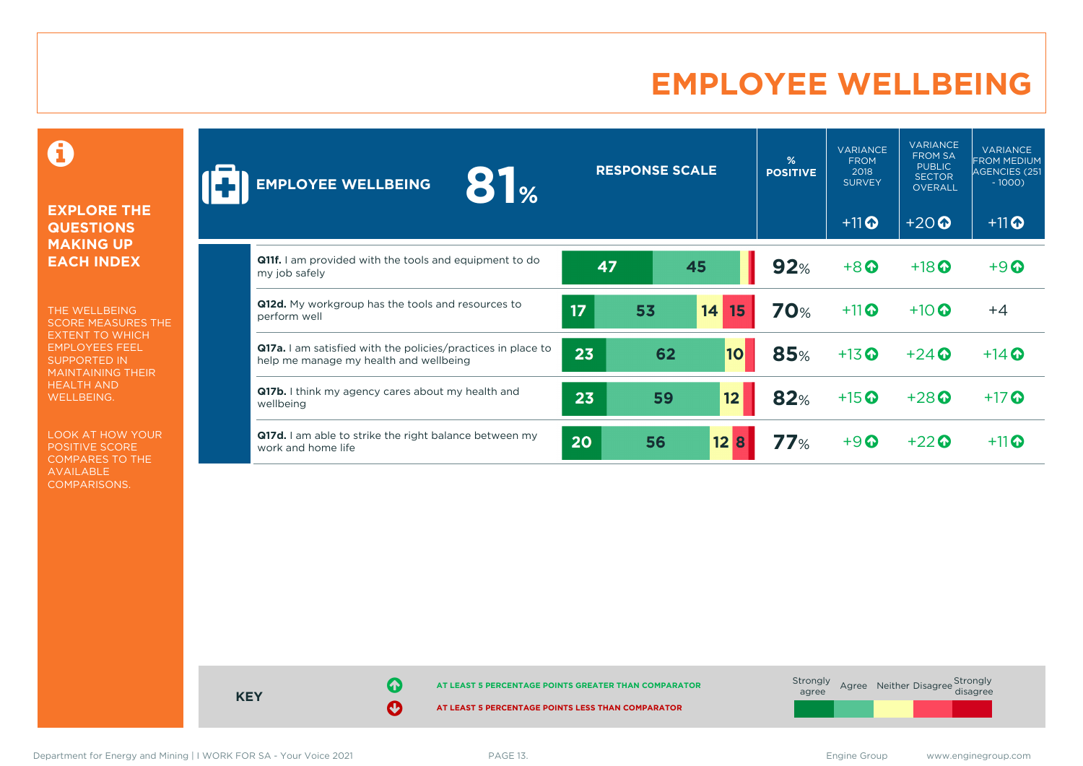# **EMPLOYEE WELLBEING**

0

#### **EXPLORE THE QUESTIONS MAKING UP EACH INDEX**

THE WELLBEING SCORE MEASURES THE EXTENT TO WHICH EMPLOYEES FEEL SUPPORTED IN MAINTAINING THEIR HEALTH AND WELLBEING.

LOOK AT HOW YOUR POSITIVE SCORE COMPARES TO THE AVAILABLE COMPARISONS.

| 81 <sub>%</sub><br><b>EMPLOYEE WELLBEING</b>                                                                  |    | <b>RESPONSE SCALE</b> |           | %<br><b>POSITIVE</b> | <b>VARIANCE</b><br><b>FROM</b><br>2018<br><b>SURVEY</b> | <b>VARIANCE</b><br><b>FROM SA</b><br><b>PUBLIC</b><br><b>SECTOR</b><br><b>OVERALL</b> | <b>VARIANCE</b><br><b>IFROM MEDIUM</b><br>AGENCIES (251<br>$-1000$ ) |
|---------------------------------------------------------------------------------------------------------------|----|-----------------------|-----------|----------------------|---------------------------------------------------------|---------------------------------------------------------------------------------------|----------------------------------------------------------------------|
|                                                                                                               |    |                       |           |                      | $+11$ <sup>O</sup>                                      | $+20$                                                                                 | $+11$ <sup>O</sup>                                                   |
| <b>Q11f.</b> I am provided with the tools and equipment to do<br>my job safely                                | 47 |                       | 45        | 92%                  | $+8$                                                    | $+18$ <sup>O</sup>                                                                    | $+9$ <sup><math>\odot</math></sup>                                   |
| Q12d. My workgroup has the tools and resources to<br>perform well                                             | 17 | 53                    | 14<br>15  | <b>70%</b>           | $+11$                                                   | $+10$ $\odot$                                                                         | $+4$                                                                 |
| <b>Q17a.</b> I am satisfied with the policies/practices in place to<br>help me manage my health and wellbeing | 23 | 62                    | <b>10</b> | <b>85%</b>           | $+13$ <sup>O</sup>                                      | $+24$ $\odot$                                                                         | $+14$ $\odot$                                                        |
| Q17b. I think my agency cares about my health and<br>wellbeing                                                | 23 | 59                    | 12        | 82%                  | $+15$ <sup>O</sup>                                      | $+28$ <sup><math>\odot</math></sup>                                                   | $+17$ $\odot$                                                        |
| Q17d. I am able to strike the right balance between my<br>work and home life                                  | 20 | 56                    | 12B       | 77%                  | $+9$ $\odot$                                            | $+22$ $\odot$                                                                         | $+11$                                                                |



Department for Energy and Mining | I WORK FOR SA - Your Voice 2021 **PAGE 13.** PAGE 13. Engine Group www.enginegroup.com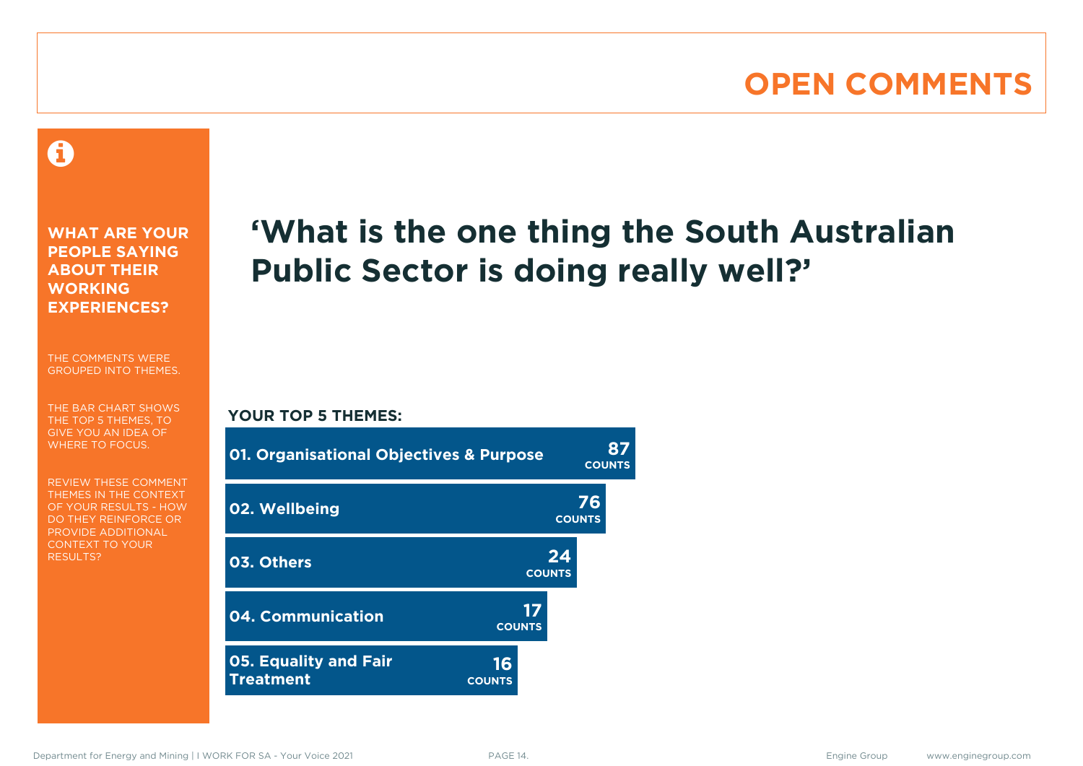# **OPEN COMMENTS**

### 0

**WHAT ARE YOUR PEOPLE SAYING ABOUT THEIR WORKING EXPERIENCES?**

THE COMMENTS WERE GROUPED INTO THEMES.

THE BAR CHART SHOWS THE TOP 5 THEMES, TO GIVE YOU AN IDEA OF WHERE TO FOCUS.

REVIEW THESE COMMENT THEMES IN THE CONTEXT OF YOUR RESULTS - HOW DO THEY REINFORCE OR PROVIDE ADDITIONAL CONTEXT TO YOUR **RESULTS?** 

# **'What is the one thing the South Australian Public Sector is doing really well?'**

**COUNTS**

#### **YOUR TOP 5 THEMES:**

| <b>01. Organisational Objectives &amp; Purpose</b> |                     |                     | <b>COUNTS</b> |
|----------------------------------------------------|---------------------|---------------------|---------------|
| 02. Wellbeing                                      |                     | 76<br><b>COUNTS</b> |               |
| 03. Others                                         |                     | 24<br><b>COUNTS</b> |               |
| 04. Communication                                  | <b>COUNTS</b>       |                     |               |
| <b>05. Equality and Fair</b><br><b>Treatment</b>   | 16<br><b>COUNTS</b> |                     |               |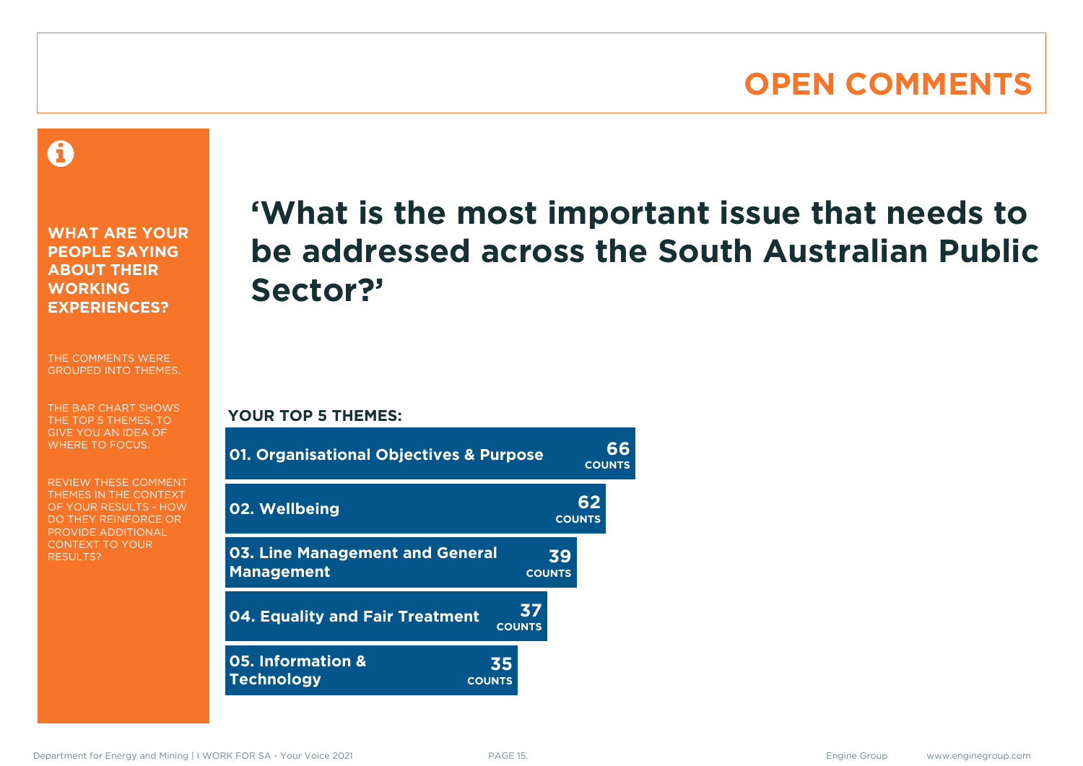### **OPEN COMMENTS**

A

**WHAT ARE YOUR PEOPLE SAYING ABOUT THEIR WORKING EXPERIENCES?**

THE COMMENTS WERE GROUPED INTO THEMES.

THE BAR CHART SHOWS THE TOP 5 THEMES, TO GIVE YOU AN IDEA OF WHERE TO FOCUS.

REVIEW THESE COMMENT THEMES IN THE CONTEXT OF YOUR RESULTS - HOW DO THEY REINFORCE OR PROVIDE ADDITIONAL CONTEXT TO YOUR **RESULTS?** 

# **'What is the most important issue that needs to be addressed across the South Australian Public Sector?'**

**YOUR TOP 5 THEMES:**

| <b>01. Organisational Objectives &amp; Purpose</b>          |                     |                     |                     |  |  |  |  |  |
|-------------------------------------------------------------|---------------------|---------------------|---------------------|--|--|--|--|--|
| 02. Wellbeing                                               |                     |                     | 62<br><b>COUNTS</b> |  |  |  |  |  |
| <b>03. Line Management and General</b><br><b>Management</b> |                     | <b>COUNTS</b>       | 39                  |  |  |  |  |  |
| 04. Equality and Fair Treatment                             |                     | 37<br><b>COUNTS</b> |                     |  |  |  |  |  |
| 05. Information &<br><b>Technology</b>                      | 35<br><b>COUNTS</b> |                     |                     |  |  |  |  |  |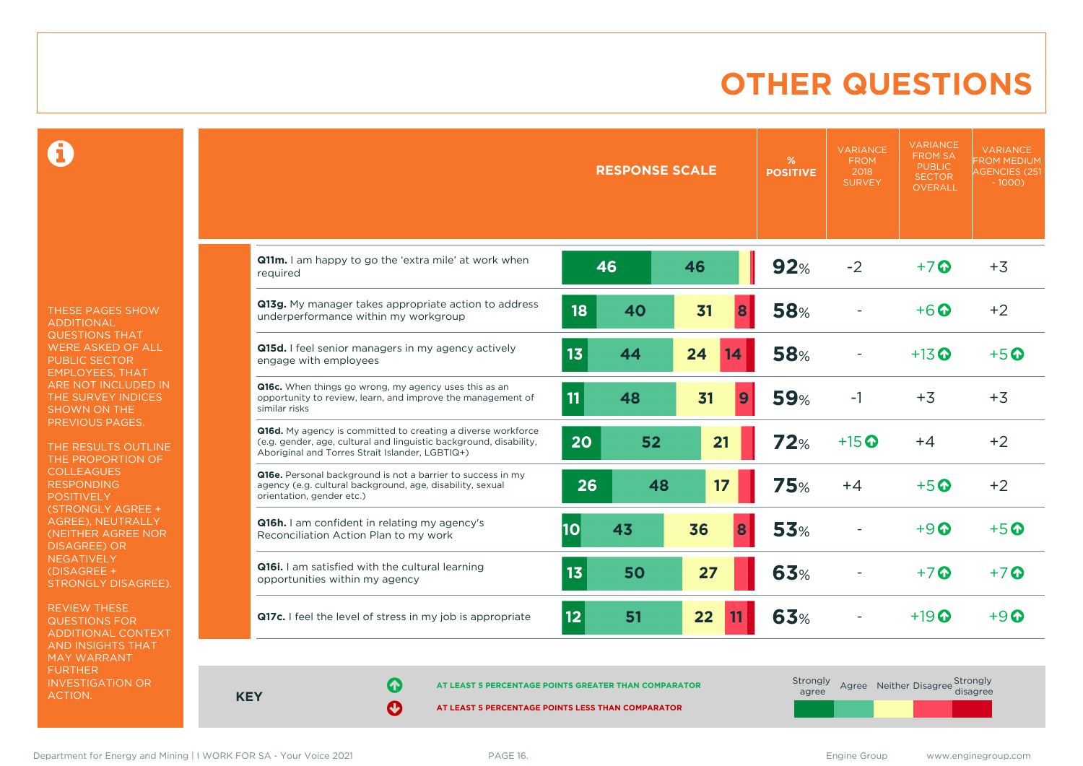# **OTHER QUESTIONS**

0

THESE PAGES SHOW ADDITIONAL QUESTIONS THAT WERE ASKED OF ALL PUBLIC SECTOR EMPLOYEES, THAT ARE NOT INCLUDED IN THE SURVEY INDICES SHOWN ON THE PREVIOUS PAGES.

THE RESULTS OUTLINE THE PROPORTION OF COLLEAGUES RESPONDING POSITIVELY (STRONGLY AGREE + AGREE), NEUTRALLY (NEITHER AGREE NOR DISAGREE) OR **NEGATIVELY** (DISAGREE + STRONGLY DISAGREE).

REVIEW THESE QUESTIONS FOR ADDITIONAL CONTEXT AND INSIGHTS THAT MAY WARRANT FURTHER INVESTIGATION OR ACTION.

|                                                                                                                                                                                       |    | <b>RESPONSE SCALE</b> |          | %<br><b>POSITIVE</b> | <b>VARIANCE</b><br><b>FROM</b><br>2018<br><b>SURVEY</b> | <b>VARIANCE</b><br><b>FROM SA</b><br><b>PUBLIC</b><br><b>SECTOR</b><br>OVERALL | <b>VARIANCE</b><br><b>FROM MEDIUM</b><br><b>AGENCIES (251)</b><br>$-1000$ ) |
|---------------------------------------------------------------------------------------------------------------------------------------------------------------------------------------|----|-----------------------|----------|----------------------|---------------------------------------------------------|--------------------------------------------------------------------------------|-----------------------------------------------------------------------------|
| Q11m. I am happy to go the 'extra mile' at work when<br>reauired                                                                                                                      |    | 46                    | 46       | 92%                  | $-2$                                                    | $+7$ $\odot$                                                                   | $+3$                                                                        |
| Q13g. My manager takes appropriate action to address<br>underperformance within my workgroup                                                                                          | 18 | 40                    | 31<br>8  | <b>58%</b>           |                                                         | $+6\Omega$                                                                     | $+2$                                                                        |
| Q15d. I feel senior managers in my agency actively<br>engage with employees                                                                                                           | 13 | 44                    | 24<br>14 | <b>58%</b>           |                                                         | $+13$ $\odot$                                                                  | $+5$ $\odot$                                                                |
| Q16c. When things go wrong, my agency uses this as an<br>opportunity to review, learn, and improve the management of<br>similar risks                                                 | 11 | 48                    | 31       | <b>59%</b><br>9      | $-1$                                                    | $+3$                                                                           | $+3$                                                                        |
| Q16d. My agency is committed to creating a diverse workforce<br>(e.g. gender, age, cultural and linguistic background, disability,<br>Aboriginal and Torres Strait Islander, LGBTIQ+) | 20 | 52                    | 21       | 72%                  | $+15$ <sup>O</sup>                                      | $+4$                                                                           | $+2$                                                                        |
| Q16e. Personal background is not a barrier to success in my<br>agency (e.g. cultural background, age, disability, sexual<br>orientation, gender etc.)                                 | 26 | 48                    | 17       | 75%                  | $+4$                                                    | $+5$ $\odot$                                                                   | $+2$                                                                        |
| Q16h. I am confident in relating my agency's<br>Reconciliation Action Plan to my work                                                                                                 | 10 | 43                    | 36<br>8  | <b>53%</b>           |                                                         | $+9$ $\Omega$                                                                  | $+5$ $\odot$                                                                |
| Q16i. I am satisfied with the cultural learning<br>opportunities within my agency                                                                                                     | 13 | 50                    | 27       | <b>63%</b>           |                                                         | $+7$ $\odot$                                                                   | $+7$ $\odot$                                                                |
| Q17c. I feel the level of stress in my job is appropriate                                                                                                                             | 12 | 51                    | 22<br>11 | 63%                  |                                                         | $+19$ $\odot$                                                                  | $+9$ $\Omega$                                                               |

**KEY**

**AT LEAST 5 PERCENTAGE POINTS GREATER THAN COMPARATOR** 

| Strongly<br>agree |  | Agree Neither Disagree Strongly<br>disagree |
|-------------------|--|---------------------------------------------|
|                   |  |                                             |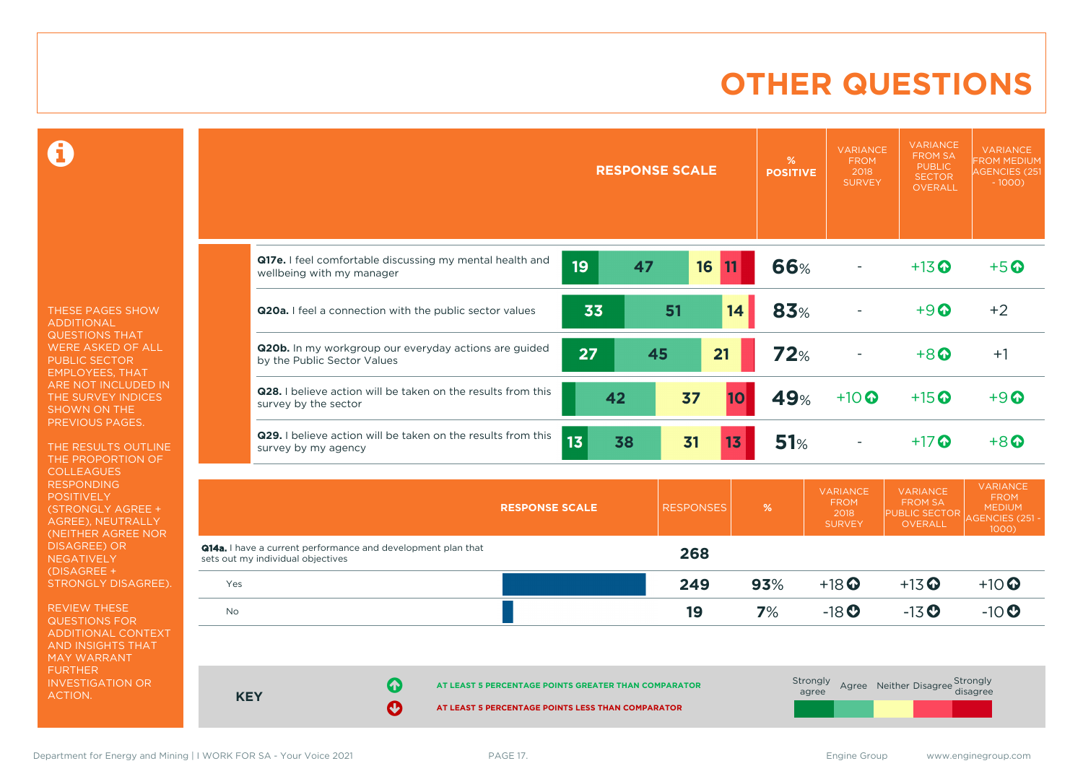# **OTHER QUESTIONS**

0

THESE PAGES SHOW ADDITIONAL QUESTIONS THAT WERE ASKED OF ALL PUBLIC SECTOR EMPLOYEES, THAT ARE NOT INCLUDED IN THE SURVEY INDICES SHOWN ON THE PREVIOUS PAGES.

THE RESULTS OUTLINE THE PROPORTION OF **COLLEAGUES** RESPONDING POSITIVELY (STRONGLY AGREE + AGREE), NEUTRALLY (NEITHER AGREE NOR **NEGATIVELY** (DISAGREE + STRONGLY DISAGREE).

REVIEW THESE QUESTIONS FOR ADDITIONAL CONTEXT AND INSIGHTS THAT MAY WARRANT FURTHER INVESTIGATION OR ACTION.

|                                   |                                                              |                                                                                                           | <b>RESPONSE SCALE</b> |                 |    | %<br><b>POSITIVE</b> | <b>VARIANCE</b><br><b>FROM</b><br>2018<br><b>SURVEY</b> | <b>VARIANCE</b><br><b>FROM SA</b><br><b>PUBLIC</b><br><b>SECTOR</b><br><b>OVERALL</b> | <b>VARIANCE</b><br><b>FROM MEDIUM</b><br><b>AGENCIES (251</b><br>$-1000$ |                                                                      |                                                                           |
|-----------------------------------|--------------------------------------------------------------|-----------------------------------------------------------------------------------------------------------|-----------------------|-----------------|----|----------------------|---------------------------------------------------------|---------------------------------------------------------------------------------------|--------------------------------------------------------------------------|----------------------------------------------------------------------|---------------------------------------------------------------------------|
|                                   | wellbeing with my manager                                    | Q17e. I feel comfortable discussing my mental health and                                                  |                       | 19              | 47 |                      | 16<br>11                                                | 66%                                                                                   |                                                                          | $+13$ <sup>O</sup>                                                   | $+5$ <sup>O</sup>                                                         |
|                                   |                                                              | Q20a. I feel a connection with the public sector values                                                   |                       | 33              |    | 51                   | 14                                                      | 83%                                                                                   |                                                                          | $+9$ <sup><math>\odot</math></sup>                                   | $+2$                                                                      |
|                                   | by the Public Sector Values                                  | Q20b. In my workgroup our everyday actions are guided                                                     |                       | 27              |    | 45                   | 21                                                      | 72%                                                                                   |                                                                          | $+8$ <sup><math>\odot</math></sup>                                   | $+1$                                                                      |
|                                   | survey by the sector                                         | <b>Q28.</b> I believe action will be taken on the results from this                                       |                       |                 | 42 | 37                   | <b>10</b>                                               | 49%                                                                                   | $+10$ $\odot$                                                            | $+15$ <sup>O</sup>                                                   | $+9$ <sup><math>\odot</math></sup>                                        |
|                                   | survey by my agency                                          | Q29. I believe action will be taken on the results from this                                              |                       | 13 <sup>5</sup> | 38 | 31                   | 13                                                      | <b>51%</b>                                                                            |                                                                          | $+17$ $\odot$                                                        | $+8$ <sup><math>\odot</math></sup>                                        |
|                                   |                                                              |                                                                                                           | <b>RESPONSE SCALE</b> |                 |    | <b>RESPONSES</b>     |                                                         | %                                                                                     | <b>VARIANCE</b><br><b>FROM</b><br>2018<br><b>SURVEY</b>                  | <b>VARIANCE</b><br>FROM SA<br><b>PUBLIC SECTOR</b><br><b>OVERALL</b> | <b>VARIANCE</b><br><b>FROM</b><br><b>MEDIUM</b><br><b>AGENCIES (251 -</b> |
| sets out my individual objectives | Q14a. I have a current performance and development plan that |                                                                                                           |                       |                 |    | 268                  |                                                         |                                                                                       |                                                                          |                                                                      | 1000)                                                                     |
| Yes                               |                                                              |                                                                                                           |                       |                 |    | 249                  |                                                         | 93%                                                                                   | $+18$ <sup>O</sup>                                                       | $+13$ <sup>O</sup>                                                   | $+10$ $\odot$                                                             |
| <b>No</b>                         |                                                              |                                                                                                           |                       |                 |    | 19                   |                                                         | 7%                                                                                    | $-18$ <sup>O</sup>                                                       | $-13$ <sup>O</sup>                                                   | $-10$                                                                     |
| <b>KEY</b>                        | 不<br>Ø                                                       | AT LEAST 5 PERCENTAGE POINTS GREATER THAN COMPARATOR<br>AT LEAST 5 PERCENTAGE POINTS LESS THAN COMPARATOR |                       |                 |    |                      |                                                         |                                                                                       | Strongly<br>agree                                                        | Agree Neither Disagree Strongly                                      | disagree                                                                  |

Department for Energy and Mining | I WORK FOR SA - Your Voice 2021 **PAGE 17.** PAGE 17.

 $\overline{\phantom{a}}$ 

 $\overline{\phantom{a}}$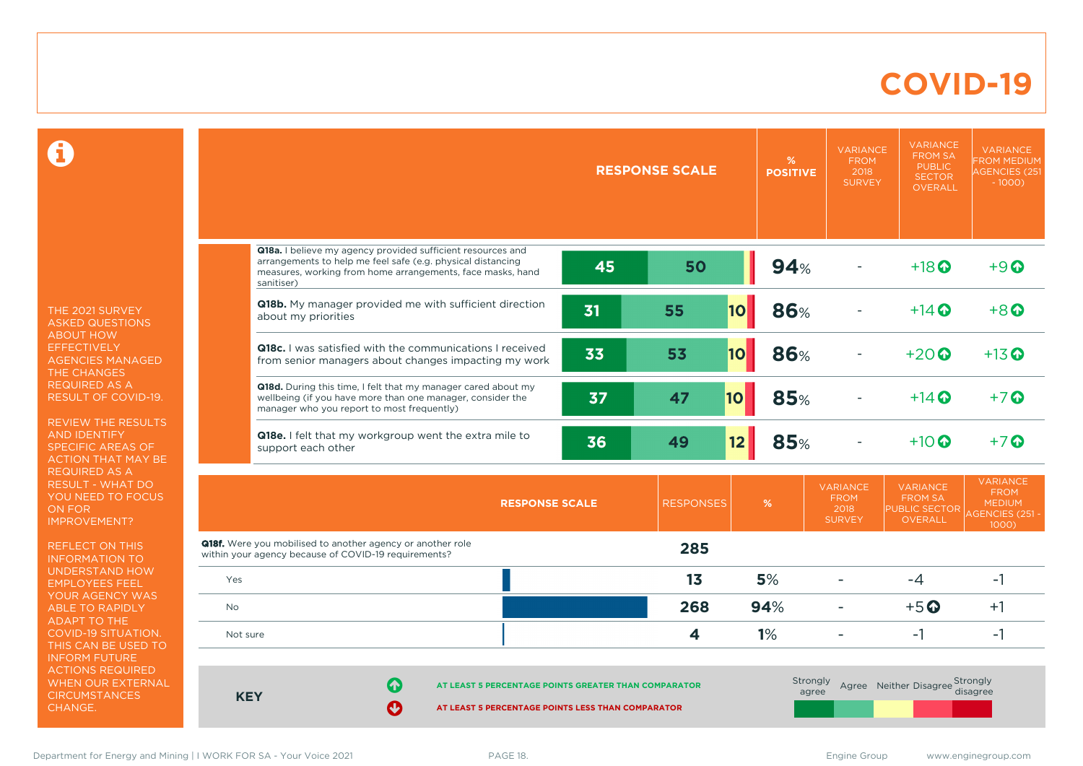### **COVID-19**

 $\mathbf \Omega$ 

THE 2021 SURVEY ASKED QUESTIONS ABOUT HOW **EFFECTIVELY** AGENCIES MANAGED THE CHANGES REQUIRED AS A RESULT OF COVID-19.

REVIEW THE RESULTS AND IDENTIFY SPECIFIC AREAS OF ACTION THAT MAY BE REQUIRED AS A RESULT - WHAT DO YOU NEED TO FOCUS ON FOR IMPROVEMENT?

REFLECT ON THIS INFORMATION TO UNDERSTAND HOW EMPLOYEES FEEL YOUR AGENCY WAS ABLE TO RAPIDLY ADAPT TO THE COVID-19 SITUATION. THIS CAN BE USED TO INFORM FUTURE ACTIONS REQUIRED WHEN OUR EXTERNAL **CIRCUMSTANCES** CHANGE.

|            |                                                                                                                                                                                                        | <b>RESPONSE SCALE</b><br><b>POSITIVE</b> |                         |                                 | <b>VARIANCE</b><br><b>FROM</b><br>2018<br><b>SURVEY</b> | <b>VARIANCE</b><br><b>FROM SA</b><br><b>PUBLIC</b><br><b>SECTOR</b><br><b>OVERALL</b> | <b>VARIANCE</b><br><b>FROM MEDIUM</b><br><b>AGENCIES (251</b><br>$-1000$ )            |
|------------|--------------------------------------------------------------------------------------------------------------------------------------------------------------------------------------------------------|------------------------------------------|-------------------------|---------------------------------|---------------------------------------------------------|---------------------------------------------------------------------------------------|---------------------------------------------------------------------------------------|
|            | Q18a. I believe my agency provided sufficient resources and<br>arrangements to help me feel safe (e.g. physical distancing<br>measures, working from home arrangements, face masks, hand<br>sanitiser) | 45                                       | 50                      | 94%                             |                                                         | $+18$ <sup>O</sup>                                                                    | $+9$ <sup><math>\odot</math></sup>                                                    |
|            | Q18b. My manager provided me with sufficient direction<br>about my priorities                                                                                                                          | 31                                       | 10 <br>55               | <b>86%</b>                      |                                                         | $+14$ $\odot$                                                                         | $+8$ <sup><math>\odot</math></sup>                                                    |
|            | <b>Q18c.</b> I was satisfied with the communications I received<br>from senior managers about changes impacting my work                                                                                | 33                                       | 53<br><b>10</b>         | <b>86%</b>                      |                                                         | $+20$                                                                                 | $+13$ <sup>O</sup>                                                                    |
|            | Q18d. During this time, I felt that my manager cared about my<br>wellbeing (if you have more than one manager, consider the<br>manager who you report to most frequently)                              | 37                                       | 47<br>10                | 85%                             |                                                         | $+14$ $\odot$                                                                         | $+7$ $\odot$                                                                          |
|            | Q18e. I felt that my workgroup went the extra mile to<br>support each other                                                                                                                            | 36                                       | 49                      | <b>85%</b><br>12                |                                                         | $+10$ $\Omega$                                                                        | $+7$ $\odot$                                                                          |
|            | <b>RESPONSE SCALE</b>                                                                                                                                                                                  |                                          | <b>RESPONSES</b>        | %                               | <b>VARIANCE</b><br><b>FROM</b><br>2018<br><b>SURVEY</b> | <b>VARIANCE</b><br><b>FROM SA</b><br><b>PUBLIC SECTOR</b><br><b>OVERALL</b>           | <b>VARIANCE</b><br><b>FROM</b><br><b>MEDIUM</b><br><b>AGENCIES (251 -</b><br>$1000$ ) |
|            | Q18f. Were you mobilised to another agency or another role<br>within your agency because of COVID-19 requirements?                                                                                     |                                          | 285                     |                                 |                                                         |                                                                                       |                                                                                       |
| Yes        |                                                                                                                                                                                                        |                                          | 13                      | 5%                              | ۳                                                       | $-4$                                                                                  | $-1$                                                                                  |
| No         |                                                                                                                                                                                                        |                                          | 268                     | 94%                             | ۳                                                       | $+5$ <sup>O</sup>                                                                     | $+1$                                                                                  |
| Not sure   |                                                                                                                                                                                                        |                                          | $\overline{\mathbf{4}}$ | 1%                              | ۰                                                       | $-1$                                                                                  | $-1$                                                                                  |
| <b>KEY</b> | 6<br>AT LEAST 5 PERCENTAGE POINTS GREATER THAN COMPARATOR<br>Ø<br>AT LEAST 5 PERCENTAGE POINTS LESS THAN COMPARATOR                                                                                    | Strongly                                 | agree                   | Agree Neither Disagree Strongly | disagree                                                |                                                                                       |                                                                                       |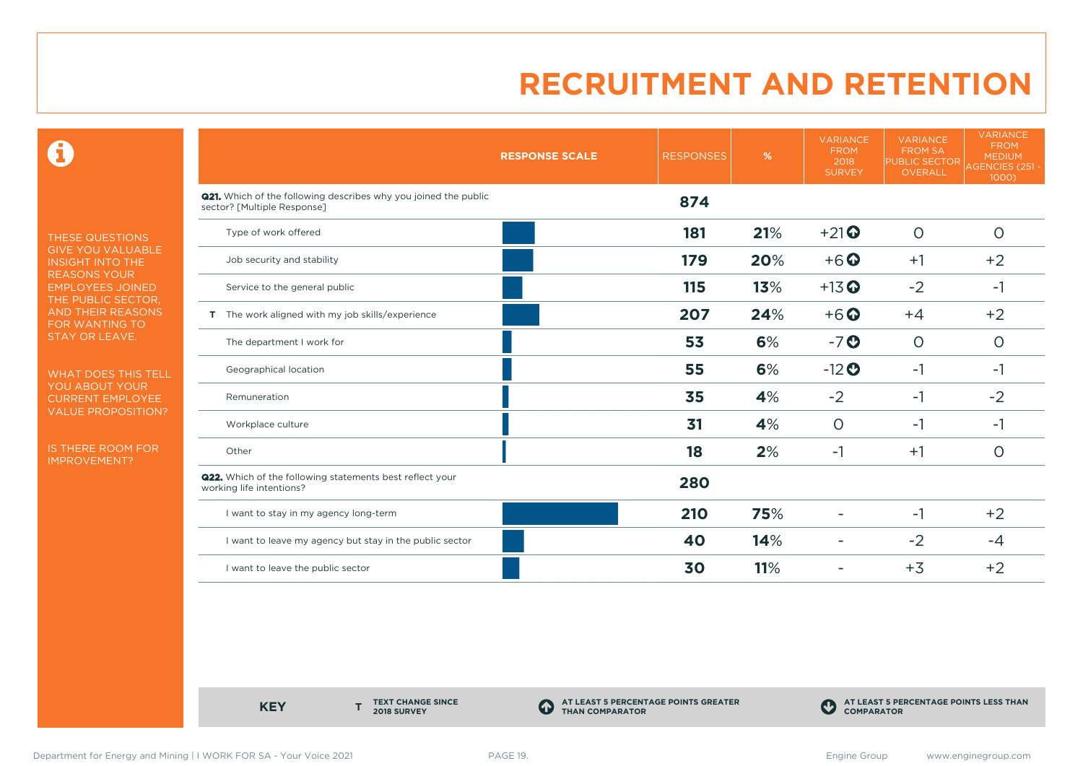$\mathbf \Theta$ 

THESE QUESTIONS GIVE YOU VALUABLE INSIGHT INTO THE REASONS YOUR EMPLOYEES JOINED THE PUBLIC SECTOR, AND THEIR REASONS FOR WANTING TO STAY OR LEAVE.

WHAT DOES THIS TELL YOU ABOUT YOUR CURRENT EMPLOYEE VALUE PROPOSITION?

IS THERE ROOM FOR IMPROVEMENT?

|                                                                                                       | <b>RESPONSE SCALE</b> | <b>RESPONSES</b> | %   | <b>VARIANCE</b><br><b>FROM</b><br>2018<br><b>SURVEY</b> | <b>VARIANCE</b><br><b>FROM SA</b><br>PUBLIC SECTOR<br>OVERALL | <b>VARIANCE</b><br><b>FROM</b><br><b>MEDIUM</b><br><b>AGENCIES (251 -</b><br>1000) |
|-------------------------------------------------------------------------------------------------------|-----------------------|------------------|-----|---------------------------------------------------------|---------------------------------------------------------------|------------------------------------------------------------------------------------|
| <b>Q21.</b> Which of the following describes why you joined the public<br>sector? [Multiple Response] |                       | 874              |     |                                                         |                                                               |                                                                                    |
| Type of work offered                                                                                  |                       | 181              | 21% | $+21$                                                   | $\circ$                                                       | $\circ$                                                                            |
| Job security and stability                                                                            |                       | 179              | 20% | $+6$ $\odot$                                            | $+1$                                                          | $+2$                                                                               |
| Service to the general public                                                                         |                       | 115              | 13% | $+13$ <sup>O</sup>                                      | $-2$                                                          | $-1$                                                                               |
| T The work aligned with my job skills/experience                                                      |                       | 207              | 24% | $+6$ <sup>O</sup>                                       | $+4$                                                          | $+2$                                                                               |
| The department I work for                                                                             |                       | 53               | 6%  | $-7o$                                                   | $\circ$                                                       | $\circ$                                                                            |
| Geographical location                                                                                 |                       | 55               | 6%  | $-12$ <sup>O</sup>                                      | $-1$                                                          | -1                                                                                 |
| Remuneration                                                                                          |                       | 35               | 4%  | $-2$                                                    | $-1$                                                          | $-2$                                                                               |
| Workplace culture                                                                                     |                       | 31               | 4%  | $\circ$                                                 | -1                                                            | -1                                                                                 |
| Other                                                                                                 |                       | 18               | 2%  | $-1$                                                    | $+1$                                                          | $\circ$                                                                            |
| Q22. Which of the following statements best reflect your<br>working life intentions?                  |                       | 280              |     |                                                         |                                                               |                                                                                    |
| I want to stay in my agency long-term                                                                 |                       | 210              | 75% |                                                         | $-1$                                                          | $+2$                                                                               |
| I want to leave my agency but stay in the public sector                                               |                       | 40               | 14% | $\overline{a}$                                          | $-2$                                                          | -4                                                                                 |
| I want to leave the public sector                                                                     |                       | 30               | 11% |                                                         | $+3$                                                          | $+2$                                                                               |

**KEY** 

**TEXT CHANGE SINCE 2018 SURVEY**

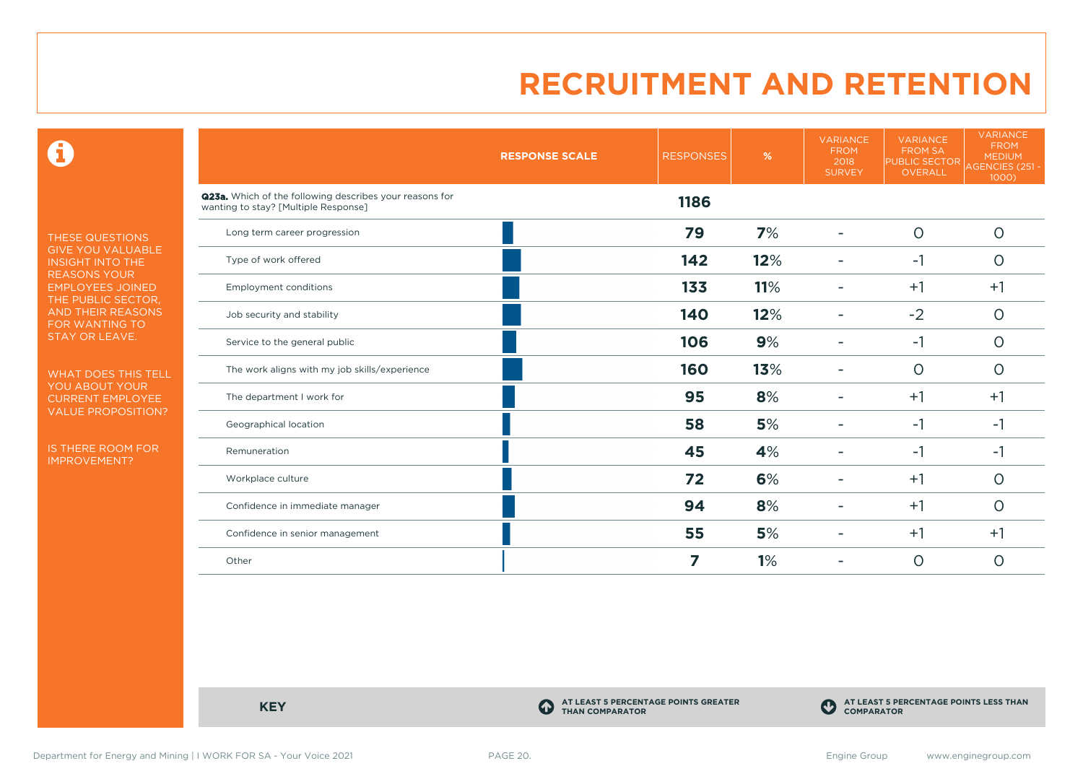$\mathbf \Theta$ 

THESE QUESTIONS GIVE YOU VALUABLE INSIGHT INTO THE REASONS YOUR EMPLOYEES JOINED THE PUBLIC SECTOR, AND THEIR REASONS FOR WANTING TO STAY OR LEAVE.

WHAT DOES THIS TELL YOU ABOUT YOUR CURRENT EMPLOYEE VALUE PROPOSITION?

IS THERE ROOM FOR IMPROVEMENT?

|                                                                                                 | <b>RESPONSE SCALE</b> | <b>RESPONSES</b> | %   | <b>VARIANCE</b><br><b>FROM</b><br>2018<br><b>SURVEY</b> | <b>VARIANCE</b><br><b>FROM SA</b><br><b>PUBLIC SECTOR</b><br>OVERALL | <b>VARIANCE</b><br><b>FROM</b><br><b>MEDIUM</b><br>AGENCIES (251 -<br>1000) |
|-------------------------------------------------------------------------------------------------|-----------------------|------------------|-----|---------------------------------------------------------|----------------------------------------------------------------------|-----------------------------------------------------------------------------|
| Q23a. Which of the following describes your reasons for<br>wanting to stay? [Multiple Response] |                       | 1186             |     |                                                         |                                                                      |                                                                             |
| Long term career progression                                                                    |                       | 79               | 7%  |                                                         | $\circ$                                                              | $\circ$                                                                     |
| Type of work offered                                                                            |                       | 142              | 12% |                                                         | $-1$                                                                 | $\circ$                                                                     |
| <b>Employment conditions</b>                                                                    |                       | 133              | 11% | ۰                                                       | $+1$                                                                 | $+1$                                                                        |
| Job security and stability                                                                      |                       | 140              | 12% |                                                         | $-2$                                                                 | $\circ$                                                                     |
| Service to the general public                                                                   |                       | 106              | 9%  |                                                         | $-1$                                                                 | $\circ$                                                                     |
| The work aligns with my job skills/experience                                                   |                       | 160              | 13% |                                                         | $\circ$                                                              | $\circ$                                                                     |
| The department I work for                                                                       |                       | 95               | 8%  |                                                         | $+1$                                                                 | $+1$                                                                        |
| Geographical location                                                                           |                       | 58               | 5%  |                                                         | $-1$                                                                 | $-1$                                                                        |
| Remuneration                                                                                    |                       | 45               | 4%  |                                                         | $-1$                                                                 | $-1$                                                                        |
| Workplace culture                                                                               |                       | 72               | 6%  |                                                         | $+1$                                                                 | $\circ$                                                                     |
| Confidence in immediate manager                                                                 |                       | 94               | 8%  |                                                         | $+1$                                                                 | $\circ$                                                                     |
| Confidence in senior management                                                                 |                       | 55               | 5%  |                                                         | $+1$                                                                 | $+1$                                                                        |
| Other                                                                                           |                       | 7                | 1%  |                                                         | $\circ$                                                              | O                                                                           |

**KEY C** 

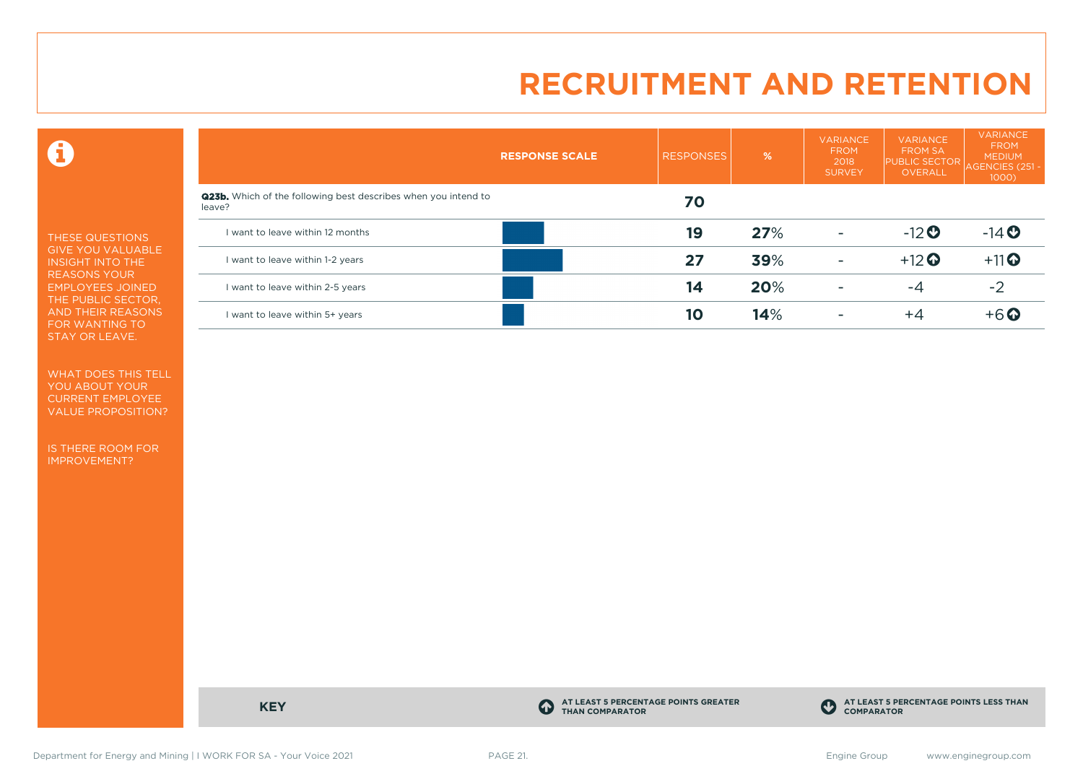$\mathbf \Theta$ 

THESE QUESTIONS GIVE YOU VALUABLE INSIGHT INTO THE REASONS YOUR EMPLOYEES JOINED THE PUBLIC SECTOR, AND THEIR REASONS FOR WANTING TO STAY OR LEAVE.

WHAT DOES THIS TELL YOU ABOUT YOUR CURRENT EMPLOYEE VALUE PROPOSITION?

IS THERE ROOM FOR IMPROVEMENT?

|                                                                                 | <b>RESPONSE SCALE</b> | <b>RESPONSES</b> | %   | <b>VARIANCE</b><br><b>FROM</b><br>2018<br><b>SURVEY</b> | <b>VARIANCE</b><br><b>FROM SA</b><br><b>PUBLIC SECTOR</b><br><b>OVERALL</b> | <b>VARIANCE</b><br><b>FROM</b><br><b>MEDIUM</b><br><b>AGENCIES (251)</b><br>1000) |
|---------------------------------------------------------------------------------|-----------------------|------------------|-----|---------------------------------------------------------|-----------------------------------------------------------------------------|-----------------------------------------------------------------------------------|
| <b>Q23b.</b> Which of the following best describes when you intend to<br>leave? |                       | 70               |     |                                                         |                                                                             |                                                                                   |
| I want to leave within 12 months                                                |                       | 19               | 27% | -                                                       | $-12$                                                                       | $-14$ <b>O</b>                                                                    |
| I want to leave within 1-2 years                                                |                       | 27               | 39% | $\sim$                                                  | $+12$ <sup>O</sup>                                                          | $+11$ <sup>O</sup>                                                                |
| I want to leave within 2-5 years                                                |                       | 14               | 20% |                                                         | $-4$                                                                        | -2                                                                                |
| I want to leave within 5+ years                                                 |                       | 10               | 14% |                                                         | $+4$                                                                        | $+6$ $\odot$                                                                      |

**KEY C** 

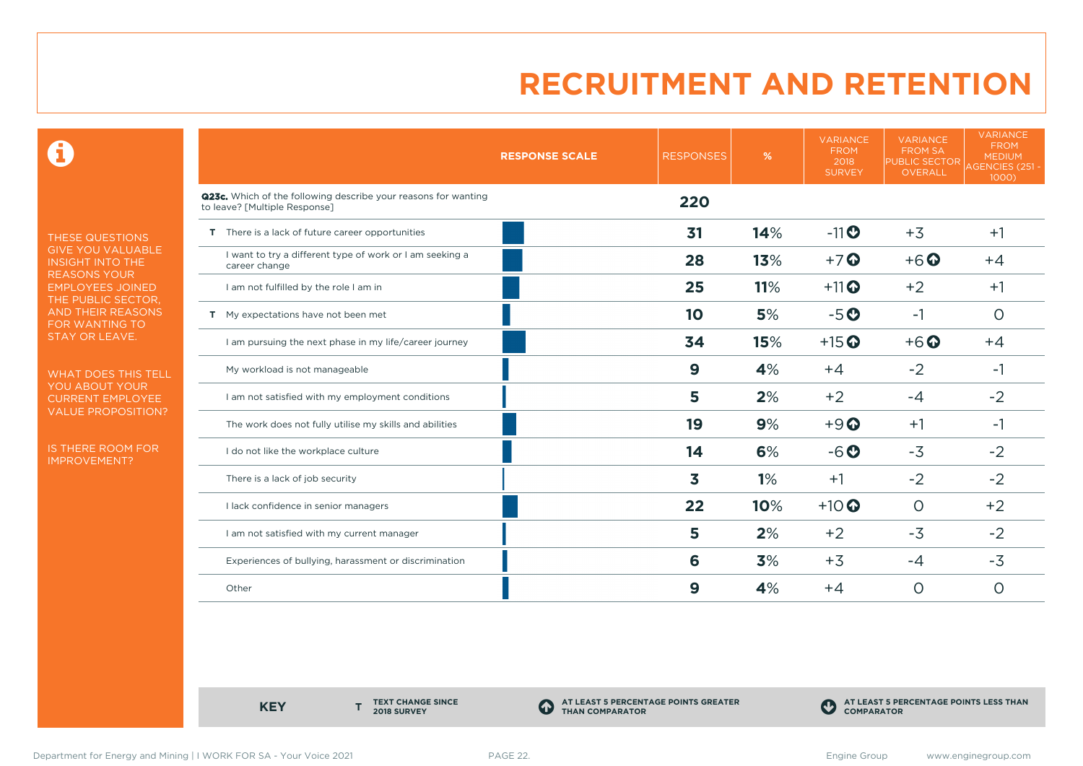$\mathbf \Theta$ 

THESE QUESTIONS GIVE YOU VALUABLE INSIGHT INTO THE REASONS YOUR EMPLOYEES JOINED THE PUBLIC SECTOR, AND THEIR REASONS FOR WANTING TO STAY OR LEAVE.

WHAT DOES THIS TELL YOU ABOUT YOUR CURRENT EMPLOYEE VALUE PROPOSITION?

IS THERE ROOM FOR IMPROVEMENT?

|                                                                                                 | <b>RESPONSE SCALE</b> | <b>RESPONSES</b> | %   | <b>VARIANCE</b><br><b>FROM</b><br>2018<br><b>SURVEY</b> | <b>VARIANCE</b><br><b>FROM SA</b><br><b>PUBLIC SECTOR</b><br><b>OVERALL</b> | <b>VARIANCE</b><br><b>FROM</b><br><b>MEDIUM</b><br>AGENCIES (251 -<br>1000) |
|-------------------------------------------------------------------------------------------------|-----------------------|------------------|-----|---------------------------------------------------------|-----------------------------------------------------------------------------|-----------------------------------------------------------------------------|
| Q23c. Which of the following describe your reasons for wanting<br>to leave? [Multiple Response] |                       | 220              |     |                                                         |                                                                             |                                                                             |
| T There is a lack of future career opportunities                                                |                       | 31               | 14% | $-11$                                                   | $+3$                                                                        | $+1$                                                                        |
| I want to try a different type of work or I am seeking a<br>career change                       |                       | 28               | 13% | $+7$ <sup>O</sup>                                       | $+6$ <sup>O</sup>                                                           | $+4$                                                                        |
| I am not fulfilled by the role I am in                                                          |                       | 25               | 11% | $+11$ <sup>O</sup>                                      | $+2$                                                                        | $+1$                                                                        |
| T My expectations have not been met                                                             |                       | 10               | 5%  | $-5o$                                                   | $-1$                                                                        | $\circ$                                                                     |
| I am pursuing the next phase in my life/career journey                                          |                       | 34               | 15% | $+15$ <sup>O</sup>                                      | $+6$ <sup>O</sup>                                                           | $+4$                                                                        |
| My workload is not manageable                                                                   |                       | 9                | 4%  | $+4$                                                    | $-2$                                                                        | -1                                                                          |
| I am not satisfied with my employment conditions                                                |                       | 5                | 2%  | $+2$                                                    | $-4$                                                                        | $-2$                                                                        |
| The work does not fully utilise my skills and abilities                                         |                       | 19               | 9%  | $+9$ <sup><math>\odot</math></sup>                      | $+1$                                                                        | $-1$                                                                        |
| I do not like the workplace culture                                                             |                       | 14               | 6%  | $-6o$                                                   | $-3$                                                                        | $-2$                                                                        |
| There is a lack of job security                                                                 |                       | 3                | 1%  | $+1$                                                    | $-2$                                                                        | $-2$                                                                        |
| I lack confidence in senior managers                                                            |                       | 22               | 10% | $+10$ <sup>O</sup>                                      | $\circ$                                                                     | $+2$                                                                        |
| I am not satisfied with my current manager                                                      |                       | 5                | 2%  | $+2$                                                    | $-3$                                                                        | $-2$                                                                        |
| Experiences of bullying, harassment or discrimination                                           |                       | 6                | 3%  | $+3$                                                    | $-4$                                                                        | $-3$                                                                        |
| Other                                                                                           |                       | 9                | 4%  | $+4$                                                    | $\circ$                                                                     | O                                                                           |

**KEY** 

**TEXT CHANGE SINCE 2018 SURVEY**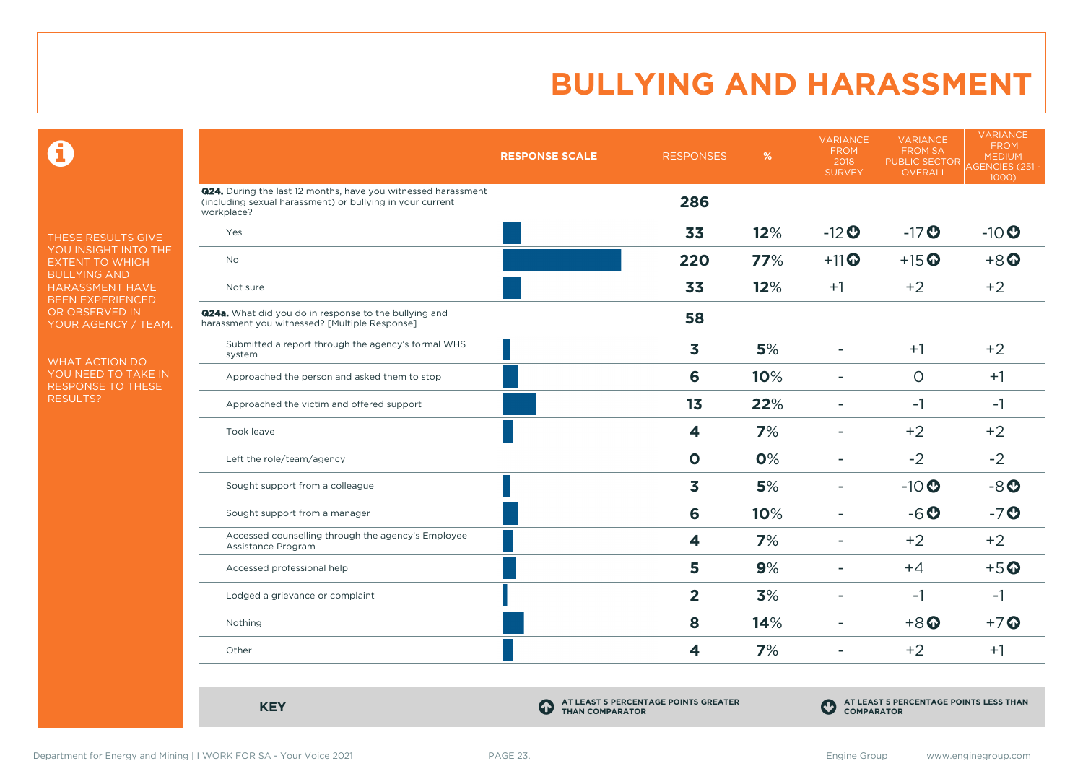$\mathbf \Theta$ 

THESE RESULTS GIVE YOU INSIGHT INTO THE EXTENT TO WHICH BULLYING AND HARASSMENT HAVE BEEN EXPERIENCED OR OBSERVED IN YOUR AGENCY / TEAM.

WHAT ACTION DO YOU NEED TO TAKE IN RESPONSE TO THESE RESULTS?

|                                                                                                                                          | <b>RESPONSE SCALE</b>                                               | <b>RESPONSES</b>        | %   | <b>VARIANCE</b><br><b>FROM</b><br>2018<br><b>SURVEY</b> | <b>VARIANCE</b><br><b>FROM SA</b><br><b>PUBLIC SECTOR</b><br>OVERALL | <b>VARIANCE</b><br><b>FROM</b><br><b>MEDIUM</b><br><b>AGENCIES (251 -</b><br>1000) |
|------------------------------------------------------------------------------------------------------------------------------------------|---------------------------------------------------------------------|-------------------------|-----|---------------------------------------------------------|----------------------------------------------------------------------|------------------------------------------------------------------------------------|
| Q24. During the last 12 months, have you witnessed harassment<br>(including sexual harassment) or bullying in your current<br>workplace? |                                                                     | 286                     |     |                                                         |                                                                      |                                                                                    |
| Yes                                                                                                                                      |                                                                     | 33                      | 12% | $-12$ <sup>O</sup>                                      | $-17$ <sup>O</sup>                                                   | $-10$ <sup>O</sup>                                                                 |
| <b>No</b>                                                                                                                                |                                                                     | 220                     | 77% | $+11$ <sup>O</sup>                                      | $+15$ <sup>O</sup>                                                   | $+8$ <sup><math>\odot</math></sup>                                                 |
| Not sure                                                                                                                                 |                                                                     | 33                      | 12% | $+1$                                                    | $+2$                                                                 | $+2$                                                                               |
| <b>Q24a.</b> What did you do in response to the bullying and<br>harassment you witnessed? [Multiple Response]                            |                                                                     | 58                      |     |                                                         |                                                                      |                                                                                    |
| Submitted a report through the agency's formal WHS<br>system                                                                             |                                                                     | 3                       | 5%  | $\overline{\phantom{a}}$                                | $+1$                                                                 | $+2$                                                                               |
| Approached the person and asked them to stop                                                                                             |                                                                     | 6                       | 10% |                                                         | $\circ$                                                              | $+1$                                                                               |
| Approached the victim and offered support                                                                                                |                                                                     | 1 <sub>3</sub>          | 22% | $\overline{\phantom{a}}$                                | $-1$                                                                 | $-1$                                                                               |
| Took leave                                                                                                                               |                                                                     | $\overline{\mathbf{4}}$ | 7%  | $\overline{\phantom{a}}$                                | $+2$                                                                 | $+2$                                                                               |
| Left the role/team/agency                                                                                                                |                                                                     | $\mathbf 0$             | 0%  | $\blacksquare$                                          | $-2$                                                                 | $-2$                                                                               |
| Sought support from a colleague                                                                                                          |                                                                     | 3                       | 5%  | $\equiv$                                                | $-10$                                                                | $-8o$                                                                              |
| Sought support from a manager                                                                                                            |                                                                     | 6                       | 10% | $\overline{\phantom{a}}$                                | $-6o$                                                                | $-7o$                                                                              |
| Accessed counselling through the agency's Employee<br>Assistance Program                                                                 |                                                                     | 4                       | 7%  | ÷                                                       | $+2$                                                                 | $+2$                                                                               |
| Accessed professional help                                                                                                               |                                                                     | 5                       | 9%  |                                                         | $+4$                                                                 | $+5$ <sup>O</sup>                                                                  |
| Lodged a grievance or complaint                                                                                                          |                                                                     | $\overline{\mathbf{2}}$ | 3%  |                                                         | $-1$                                                                 | $-1$                                                                               |
| Nothing                                                                                                                                  |                                                                     | 8                       | 14% |                                                         | $+8$ <sup>O</sup>                                                    | $+7$ $\odot$                                                                       |
| Other                                                                                                                                    |                                                                     | 4                       | 7%  | $\blacksquare$                                          | $+2$                                                                 | $+1$                                                                               |
| <b>KEY</b>                                                                                                                               | AT LEAST 5 PERCENTAGE POINTS GREATER<br>4<br><b>THAN COMPARATOR</b> |                         |     | $\mathbf C$<br><b>COMPARATOR</b>                        | AT LEAST 5 PERCENTAGE POINTS LESS THAN                               |                                                                                    |

COMPARATOR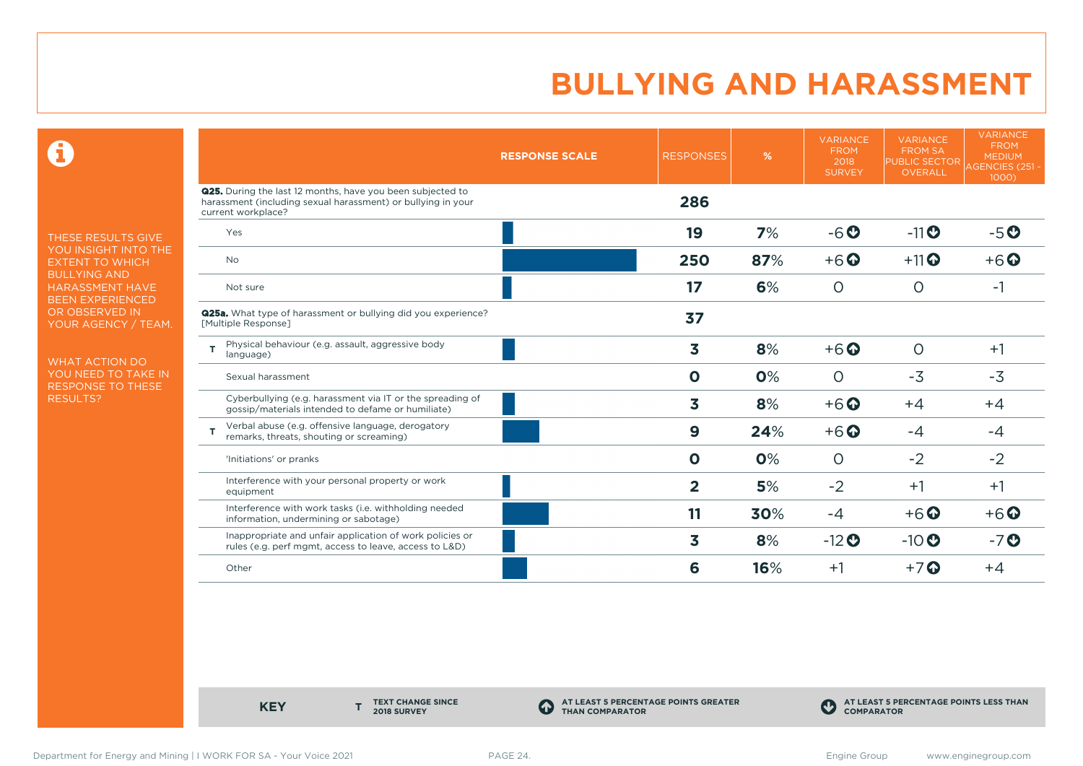$\mathbf \Theta$ 

THESE RESULTS GIVE YOU INSIGHT INTO THE EXTENT TO WHICH BULLYING AND HARASSMENT HAVE BEEN EXPERIENCED OR OBSERVED IN YOUR AGENCY / TEAM.

WHAT ACTION DO YOU NEED TO TAKE IN RESPONSE TO THESE RESULTS?

|                                                                                                                                                         | <b>RESPONSE SCALE</b> | <b>RESPONSES</b> | %   | <b>VARIANCE</b><br><b>FROM</b><br>2018<br><b>SURVEY</b> | <b>VARIANCE</b><br><b>FROM SA</b><br><b>PUBLIC SECTOR</b><br><b>OVERALL</b> | <b>VARIANCE</b><br><b>FROM</b><br><b>MEDIUM</b><br>AGENCIES (251 -<br>1000) |
|---------------------------------------------------------------------------------------------------------------------------------------------------------|-----------------------|------------------|-----|---------------------------------------------------------|-----------------------------------------------------------------------------|-----------------------------------------------------------------------------|
| <b>Q25.</b> During the last 12 months, have you been subjected to<br>harassment (including sexual harassment) or bullying in your<br>current workplace? |                       | 286              |     |                                                         |                                                                             |                                                                             |
| Yes                                                                                                                                                     |                       | 19               | 7%  | $-6o$                                                   | $-11$ $\odot$                                                               | $-5o$                                                                       |
| No                                                                                                                                                      |                       | 250              | 87% | $+6$ $\odot$                                            | $+11$ <sup>O</sup>                                                          | $+6$ $\odot$                                                                |
| Not sure                                                                                                                                                |                       | 17               | 6%  | $\circ$                                                 | $\circ$                                                                     | -1                                                                          |
| <b>Q25a.</b> What type of harassment or bullying did you experience?<br>[Multiple Response]                                                             |                       | 37               |     |                                                         |                                                                             |                                                                             |
| Physical behaviour (e.g. assault, aggressive body<br>T<br>language)                                                                                     |                       | 3                | 8%  | $+6$ $\odot$                                            | $\circ$                                                                     | $+1$                                                                        |
| Sexual harassment                                                                                                                                       |                       | $\mathbf 0$      | 0%  | $\circ$                                                 | $-3$                                                                        | $-3$                                                                        |
| Cyberbullying (e.g. harassment via IT or the spreading of<br>gossip/materials intended to defame or humiliate)                                          |                       | 3                | 8%  | $+6$ $\odot$                                            | $+4$                                                                        | $+4$                                                                        |
| Verbal abuse (e.g. offensive language, derogatory<br>т<br>remarks, threats, shouting or screaming)                                                      |                       | $\boldsymbol{9}$ | 24% | $+6$ <sup>O</sup>                                       | $-4$                                                                        | $-4$                                                                        |
| 'Initiations' or pranks                                                                                                                                 |                       | $\mathbf 0$      | 0%  | $\circ$                                                 | $-2$                                                                        | $-2$                                                                        |
| Interference with your personal property or work<br>equipment                                                                                           |                       | $\overline{2}$   | 5%  | $-2$                                                    | $+1$                                                                        | $+1$                                                                        |
| Interference with work tasks (i.e. withholding needed<br>information, undermining or sabotage)                                                          |                       | 11               | 30% | $-4$                                                    | $+6$ <sup><math>\odot</math></sup>                                          | $+6$ $\odot$                                                                |
| Inappropriate and unfair application of work policies or<br>rules (e.g. perf mgmt, access to leave, access to L&D)                                      |                       | 3                | 8%  | $-12$ <sup>O</sup>                                      | $-10$                                                                       | $-7o$                                                                       |
| Other                                                                                                                                                   |                       | 6                | 16% | $+1$                                                    | $+7$ $\odot$                                                                | $+4$                                                                        |

**KEY** 

**TEXT CHANGE SINCE 2018 SURVEY**

**AT LEAST 5 PERCENTAGE POINTS GREATER THAN COMPARATOR**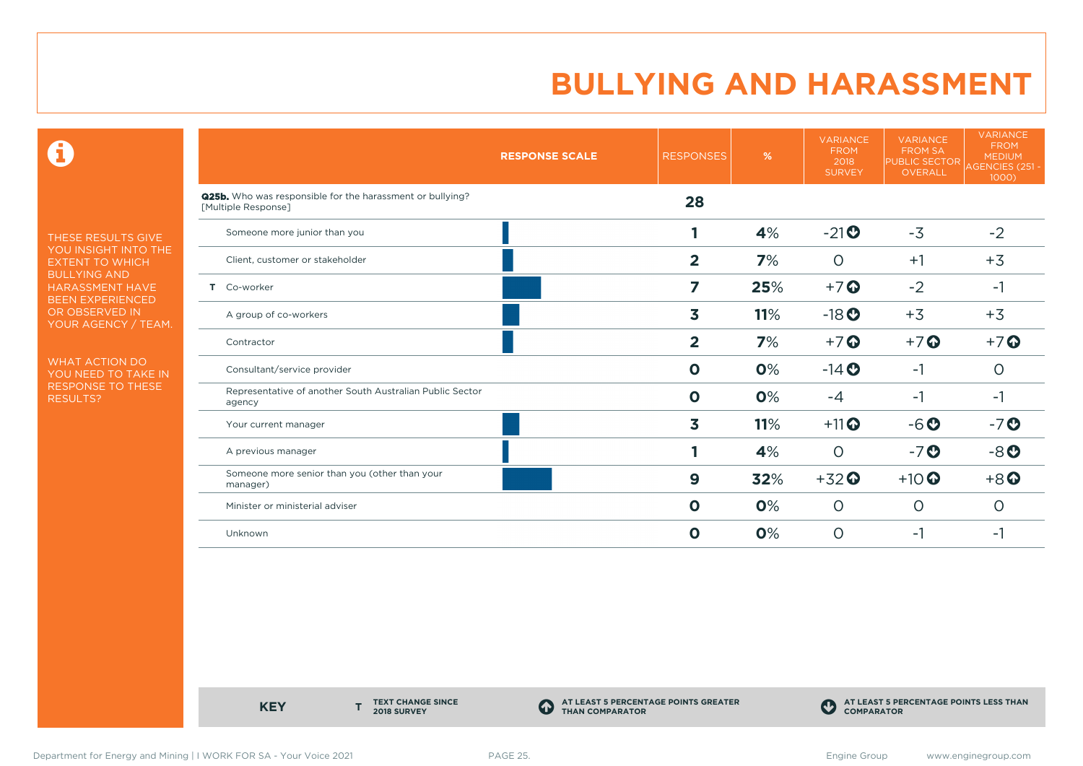$\mathbf \Theta$ 

THESE RESULTS GIVE YOU INSIGHT INTO THE EXTENT TO WHICH BULLYING AND HARASSMENT HAVE BEEN EXPERIENCED OR OBSERVED IN YOUR AGENCY / TEAM.

WHAT ACTION DO YOU NEED TO TAKE IN RESPONSE TO THESE RESULTS?

|                                                                                  | <b>RESPONSE SCALE</b> | <b>RESPONSES</b> | %   | <b>VARIANCE</b><br><b>FROM</b><br>2018<br><b>SURVEY</b> | <b>VARIANCE</b><br><b>FROM SA</b><br><b>PUBLIC SECTOR</b><br><b>OVERALL</b> | <b>VARIANCE</b><br><b>FROM</b><br><b>MEDIUM</b><br>AGENCIES (251 -<br>1000) |
|----------------------------------------------------------------------------------|-----------------------|------------------|-----|---------------------------------------------------------|-----------------------------------------------------------------------------|-----------------------------------------------------------------------------|
| Q25b. Who was responsible for the harassment or bullying?<br>[Multiple Response] |                       | 28               |     |                                                         |                                                                             |                                                                             |
| Someone more junior than you                                                     |                       |                  | 4%  | $-21$ <sup>O</sup>                                      | $-3$                                                                        | $-2$                                                                        |
| Client, customer or stakeholder                                                  |                       | $\overline{2}$   | 7%  | $\Omega$                                                | $+1$                                                                        | $+3$                                                                        |
| T Co-worker                                                                      |                       | 7                | 25% | $+7$ $\odot$                                            | $-2$                                                                        | $-1$                                                                        |
| A group of co-workers                                                            |                       | 3                | 11% | $-18$ <b>O</b>                                          | $+3$                                                                        | $+3$                                                                        |
| Contractor                                                                       |                       | $\overline{2}$   | 7%  | $+7$ $\odot$                                            | $+7$ $\odot$                                                                | $+7$ $\odot$                                                                |
| Consultant/service provider                                                      |                       | $\mathbf 0$      | 0%  | $-14$ <b>O</b>                                          | $-1$                                                                        | 0                                                                           |
| Representative of another South Australian Public Sector<br>agency               |                       | $\mathbf 0$      | 0%  | -4                                                      | $-1$                                                                        | $-1$                                                                        |
| Your current manager                                                             |                       | 3                | 11% | $+11$ <sup>O</sup>                                      | $-6o$                                                                       | $-7o$                                                                       |
| A previous manager                                                               |                       |                  | 4%  | $\Omega$                                                | $-7o$                                                                       | $-8o$                                                                       |
| Someone more senior than you (other than your<br>manager)                        |                       | 9                | 32% | $+32$ <sup>O</sup>                                      | $+10$ <sup>O</sup>                                                          | $+8$                                                                        |
| Minister or ministerial adviser                                                  |                       | $\mathbf 0$      | 0%  | $\circ$                                                 | $\circ$                                                                     | O                                                                           |
| Unknown                                                                          |                       | $\mathbf 0$      | 0%  | $\circ$                                                 | -1                                                                          | -1                                                                          |

**KEY** 

**TEXT CHANGE SINCE 2018 SURVEY**

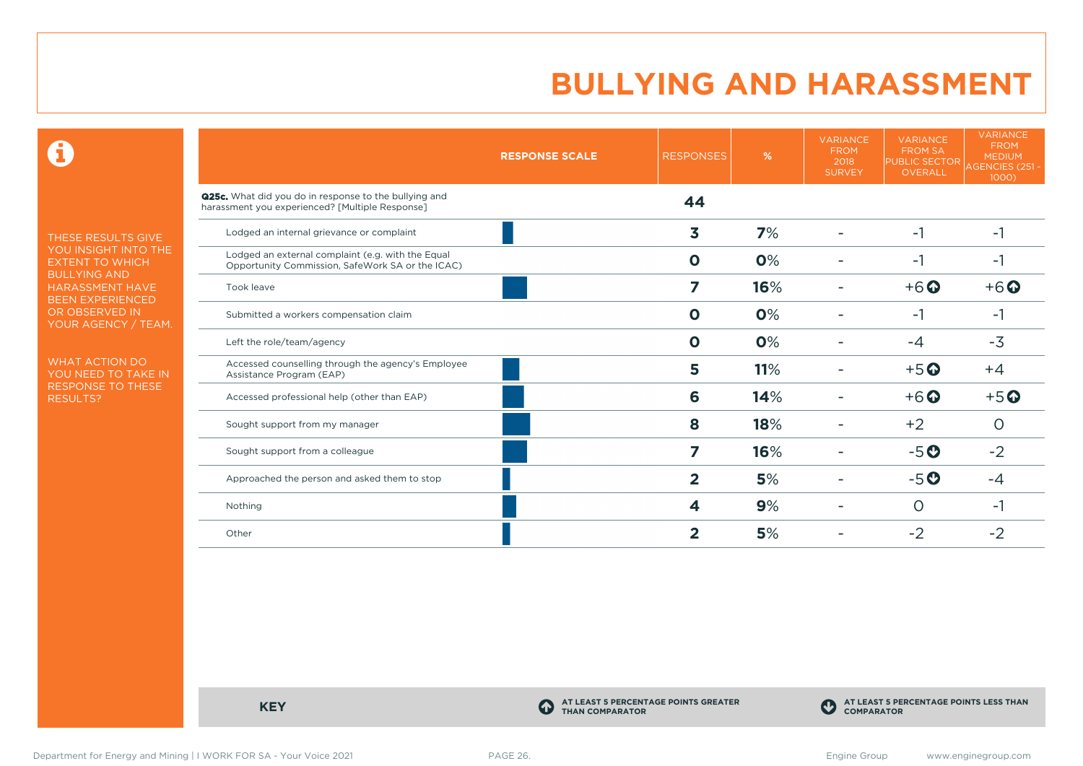$\mathbf \Theta$ 

THESE RESULTS GIVE YOU INSIGHT INTO THE EXTENT TO WHICH BULLYING AND HARASSMENT HAVE BEEN EXPERIENCED OR OBSERVED IN YOUR AGENCY / TEAM.

WHAT ACTION DO YOU NEED TO TAKE IN RESPONSE TO THESE RESULTS?

|                                                                                                          | <b>RESPONSE SCALE</b> | <b>RESPONSES</b>        | %   | <b>VARIANCE</b><br><b>FROM</b><br>2018<br><b>SURVEY</b> | <b>VARIANCE</b><br><b>FROM SA</b><br><b>PUBLIC SECTOR</b><br><b>OVERALL</b> | <b>VARIANCE</b><br><b>FROM</b><br><b>MEDIUM</b><br>AGENCIES (251 -<br>1000) |
|----------------------------------------------------------------------------------------------------------|-----------------------|-------------------------|-----|---------------------------------------------------------|-----------------------------------------------------------------------------|-----------------------------------------------------------------------------|
| Q25c. What did you do in response to the bullying and<br>harassment you experienced? [Multiple Response] |                       | 44                      |     |                                                         |                                                                             |                                                                             |
| Lodged an internal grievance or complaint                                                                |                       | 3                       | 7%  |                                                         | $-1$                                                                        | $-1$                                                                        |
| Lodged an external complaint (e.g. with the Equal<br>Opportunity Commission, SafeWork SA or the ICAC)    |                       | $\mathbf{o}$            | 0%  |                                                         | -1                                                                          | $-1$                                                                        |
| Took leave                                                                                               |                       | 7                       | 16% |                                                         | $+6$ $\odot$                                                                | $+6$ $\odot$                                                                |
| Submitted a workers compensation claim                                                                   |                       | $\mathbf 0$             | 0%  |                                                         | -1                                                                          | -1                                                                          |
| Left the role/team/agency                                                                                |                       | $\mathbf 0$             | 0%  |                                                         | $-4$                                                                        | $-3$                                                                        |
| Accessed counselling through the agency's Employee<br>Assistance Program (EAP)                           |                       | 5                       | 11% |                                                         | $+5$ <sup>O</sup>                                                           | $+4$                                                                        |
| Accessed professional help (other than EAP)                                                              |                       | 6                       | 14% |                                                         | $+6$ <sup>O</sup>                                                           | $+5$ <sup>O</sup>                                                           |
| Sought support from my manager                                                                           |                       | 8                       | 18% |                                                         | $+2$                                                                        | $\Omega$                                                                    |
| Sought support from a colleague                                                                          |                       | 7                       | 16% |                                                         | $-5o$                                                                       | $-2$                                                                        |
| Approached the person and asked them to stop                                                             |                       | $\overline{2}$          | 5%  |                                                         | $-5o$                                                                       | -4                                                                          |
| Nothing                                                                                                  |                       | 4                       | 9%  |                                                         | O                                                                           | -1                                                                          |
| Other                                                                                                    |                       | $\overline{\mathbf{2}}$ | 5%  |                                                         | $-2$                                                                        | $-2$                                                                        |

**KEY C** 

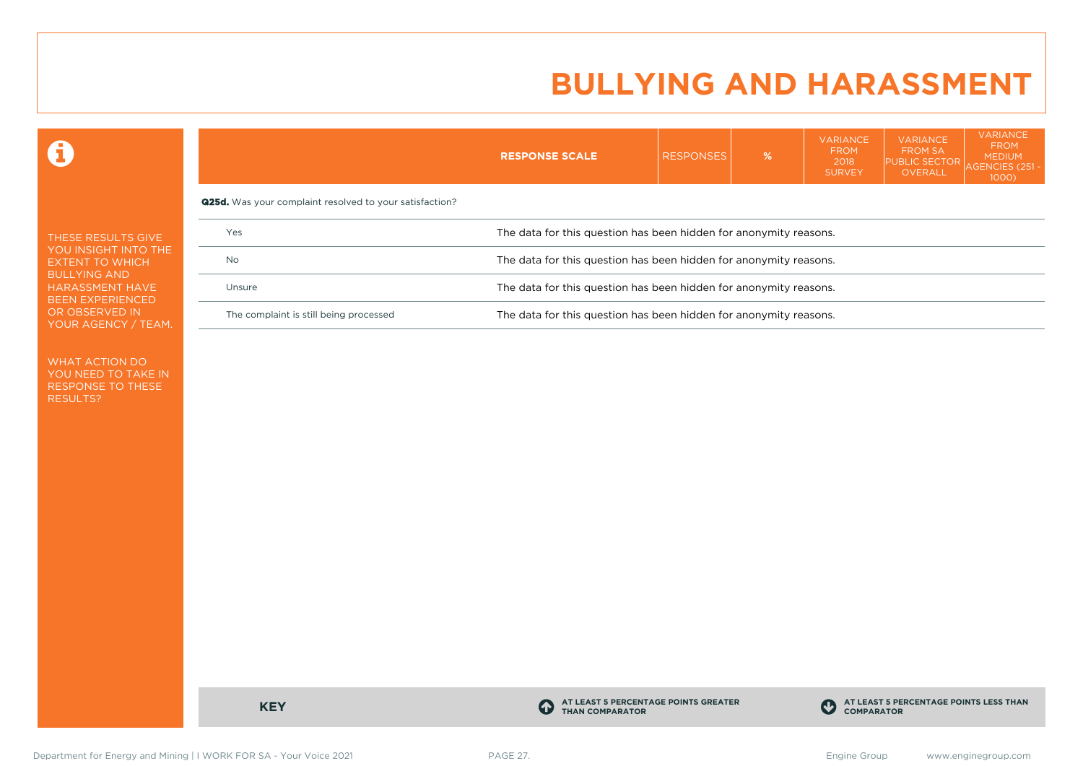VARIANCE

VARIANCE

VARIANCE

 $\mathbf \Theta$ 

|                                                                          |                                                                             | <b>RESPONSE SCALE</b>                                             | <b>RESPONSES</b> | % | , , , , , , , , , <del>,</del><br><b>FROM</b><br>2018<br><b>SURVEY</b> | .<br><b>FROM SA</b><br><b>PUBLIC SECTOR</b><br>OVERALL | <b>FROM</b><br><b>MEDIUM</b><br><b>AGENCIES (251-</b><br>$1000$ ) |  |  |
|--------------------------------------------------------------------------|-----------------------------------------------------------------------------|-------------------------------------------------------------------|------------------|---|------------------------------------------------------------------------|--------------------------------------------------------|-------------------------------------------------------------------|--|--|
|                                                                          | <b>Q25d.</b> Was your complaint resolved to your satisfaction?              |                                                                   |                  |   |                                                                        |                                                        |                                                                   |  |  |
| THESE RESULTS GIVE                                                       | Yes                                                                         | The data for this question has been hidden for anonymity reasons. |                  |   |                                                                        |                                                        |                                                                   |  |  |
| YOU INSIGHT INTO THE<br><b>No</b><br><b>EXTENT TO WHICH</b>              | The data for this question has been hidden for anonymity reasons.           |                                                                   |                  |   |                                                                        |                                                        |                                                                   |  |  |
| <b>BULLYING AND</b><br><b>HARASSMENT HAVE</b><br><b>BEEN EXPERIENCED</b> | The data for this question has been hidden for anonymity reasons.<br>Unsure |                                                                   |                  |   |                                                                        |                                                        |                                                                   |  |  |
| OR OBSERVED IN<br>YOUR AGENCY / TEAM.                                    | The complaint is still being processed                                      | The data for this question has been hidden for anonymity reasons. |                  |   |                                                                        |                                                        |                                                                   |  |  |

WHAT ACTION DO YOU NEED TO TAKE IN RESPONSE TO THESE RESULTS?

**KEY C** 

**AT LEAST 5 PERCENTAGE POINTS GREATER THAN COMPARATOR**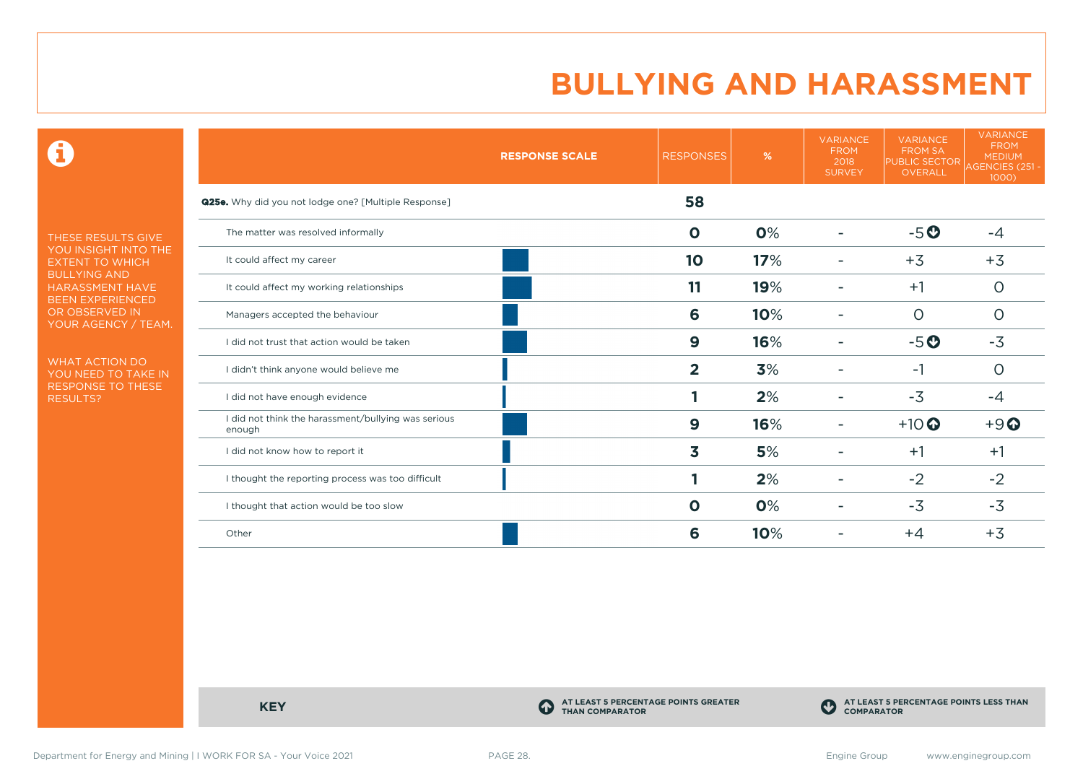$\mathbf \Theta$ 

THESE RESULTS GIVE YOU INSIGHT INTO THE EXTENT TO WHICH BULLYING AND HARASSMENT HAVE BEEN EXPERIENCED OR OBSERVED IN YOUR AGENCY / TEAM.

WHAT ACTION DO YOU NEED TO TAKE IN RESPONSE TO THESE RESULTS?

|                                                               | <b>RESPONSE SCALE</b> | <b>RESPONSES</b>        | %   | <b>VARIANCE</b><br><b>FROM</b><br>2018<br><b>SURVEY</b> | <b>VARIANCE</b><br><b>FROM SA</b><br><b>PUBLIC SECTOR</b><br>OVERALL | <b>VARIANCE</b><br><b>FROM</b><br><b>MEDIUM</b><br>AGENCIES (251 -<br>1000) |
|---------------------------------------------------------------|-----------------------|-------------------------|-----|---------------------------------------------------------|----------------------------------------------------------------------|-----------------------------------------------------------------------------|
| <b>Q25e.</b> Why did you not lodge one? [Multiple Response]   |                       | 58                      |     |                                                         |                                                                      |                                                                             |
| The matter was resolved informally                            |                       | $\mathbf 0$             | 0%  |                                                         | $-5o$                                                                | $-4$                                                                        |
| It could affect my career                                     |                       | 10                      | 17% |                                                         | $+3$                                                                 | $+3$                                                                        |
| It could affect my working relationships                      |                       | 11                      | 19% |                                                         | $+1$                                                                 | $\circ$                                                                     |
| Managers accepted the behaviour                               |                       | 6                       | 10% |                                                         | 0                                                                    | O                                                                           |
| I did not trust that action would be taken                    |                       | $\boldsymbol{9}$        | 16% |                                                         | $-5o$                                                                | $-3$                                                                        |
| I didn't think anyone would believe me                        |                       | $\overline{\mathbf{2}}$ | 3%  |                                                         | $-1$                                                                 | $\circ$                                                                     |
| I did not have enough evidence                                |                       |                         | 2%  |                                                         | $-3$                                                                 | $-4$                                                                        |
| I did not think the harassment/bullying was serious<br>enough |                       | 9                       | 16% |                                                         | $+10$ <sup>O</sup>                                                   | $+9$                                                                        |
| I did not know how to report it                               |                       | 3                       | 5%  |                                                         | $+1$                                                                 | $+1$                                                                        |
| I thought the reporting process was too difficult             |                       |                         | 2%  |                                                         | $-2$                                                                 | $-2$                                                                        |
| I thought that action would be too slow                       |                       | $\mathbf 0$             | 0%  |                                                         | $-3$                                                                 | $-3$                                                                        |
| Other                                                         |                       | 6                       | 10% |                                                         | $+4$                                                                 | $+3$                                                                        |

**KEY C** 

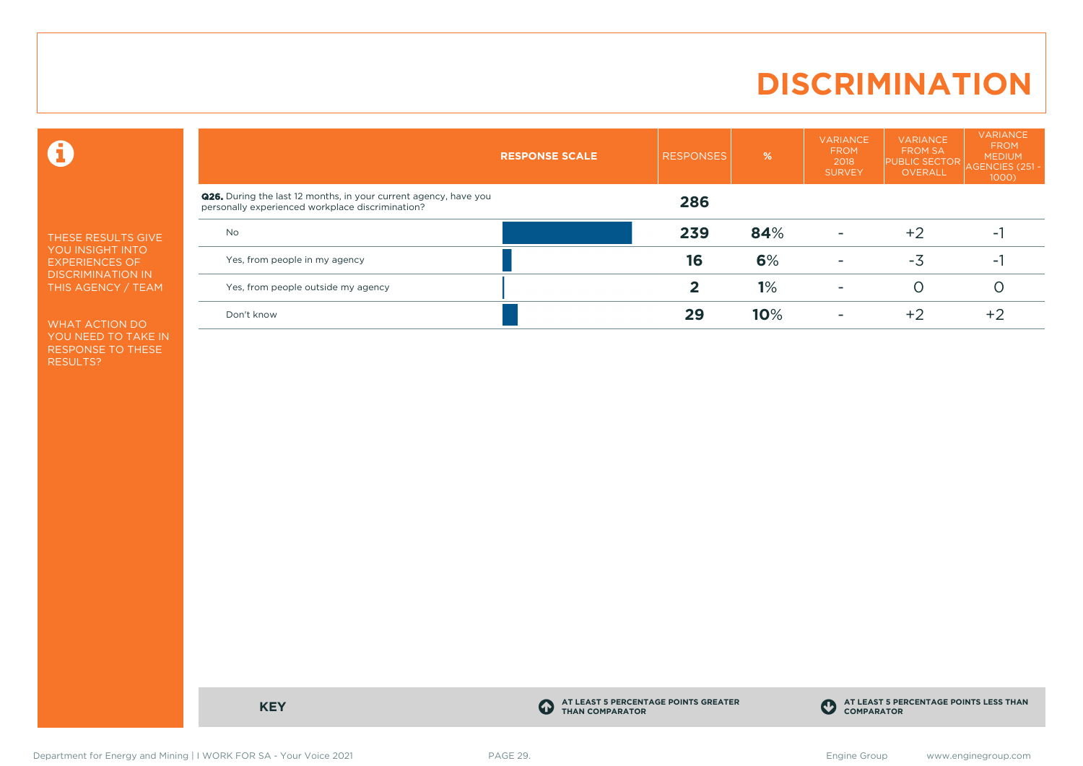# **DISCRIMINATION**

 $\mathbf \Theta$ 

THESE RESULTS GIVE YOU INSIGHT INTO EXPERIENCES OF DISCRIMINATION IN THIS AGENCY / TEAM

WHAT ACTION DO YOU NEED TO TAKE IN RESPONSE TO THESE RESULTS?

| <b>Q26.</b> During the last 12 months, in your current agency, have you<br>286<br>personally experienced workplace discrimination?<br>84%<br>239<br>$+2$<br><b>No</b><br>۰.<br>6%<br>16<br>-3<br>Yes, from people in my agency<br>۰.<br>1%<br>O<br>Yes, from people outside my agency<br>-<br>10%<br>29<br>$+2$<br>$+2$<br>Don't know | <b>RESPONSE SCALE</b> | <b>RESPONSES</b> | % | <b>VARIANCE</b><br><b>FROM</b><br>2018<br><b>SURVEY</b> | <b>VARIANCE</b><br><b>FROM SA</b><br><b>PUBLIC SECTOR</b><br><b>OVERALL</b> | <b>VARIANCE</b><br><b>FROM</b><br><b>MEDIUM</b><br><b>AGENCIES (251)</b><br>$1000$ ) |
|---------------------------------------------------------------------------------------------------------------------------------------------------------------------------------------------------------------------------------------------------------------------------------------------------------------------------------------|-----------------------|------------------|---|---------------------------------------------------------|-----------------------------------------------------------------------------|--------------------------------------------------------------------------------------|
|                                                                                                                                                                                                                                                                                                                                       |                       |                  |   |                                                         |                                                                             |                                                                                      |
|                                                                                                                                                                                                                                                                                                                                       |                       |                  |   |                                                         |                                                                             |                                                                                      |
|                                                                                                                                                                                                                                                                                                                                       |                       |                  |   |                                                         |                                                                             |                                                                                      |
|                                                                                                                                                                                                                                                                                                                                       |                       |                  |   |                                                         |                                                                             |                                                                                      |
|                                                                                                                                                                                                                                                                                                                                       |                       |                  |   |                                                         |                                                                             |                                                                                      |

**KEY C** 

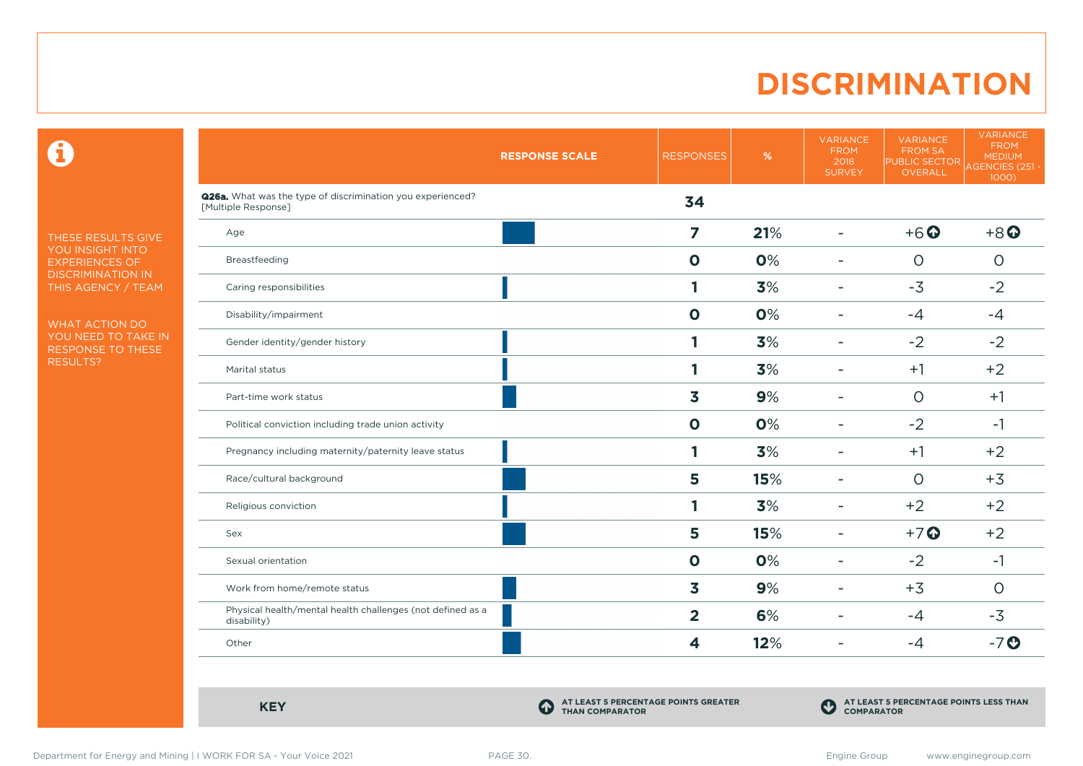# **DISCRIMINATION**

 $\mathbf \Theta$ 

THESE RESULTS GIVE YOU INSIGHT INTO EXPERIENCES OF DISCRIMINATION IN THIS AGENCY / TEAM

WHAT ACTION DO YOU NEED TO TAKE IN RESPONSE TO THESE RESULTS?

|                                                                                          | <b>RESPONSE SCALE</b> | <b>RESPONSES</b> | $\%$ | <b>VARIANCE</b><br><b>FROM</b><br>2018<br><b>SURVEY</b> | <b>VARIANCE</b><br>FROM SA<br>PUBLIC SECTOR<br>OVERALL | <b>VARIANCE</b><br><b>FROM</b><br><b>MEDIUM</b><br>AGENCIES (251 -<br>1000 |
|------------------------------------------------------------------------------------------|-----------------------|------------------|------|---------------------------------------------------------|--------------------------------------------------------|----------------------------------------------------------------------------|
| <b>Q26a.</b> What was the type of discrimination you experienced?<br>[Multiple Response] |                       | 34               |      |                                                         |                                                        |                                                                            |
| Age                                                                                      |                       | 7                | 21%  | $\blacksquare$                                          | $+6$ <sup><math>\odot</math></sup>                     | $+8$ <sup><math>\odot</math></sup>                                         |
| Breastfeeding                                                                            |                       | $\mathbf 0$      | 0%   | $\overline{\phantom{0}}$                                | $\circ$                                                | $\circ$                                                                    |
| Caring responsibilities                                                                  |                       | 1                | 3%   | ۰                                                       | $-3$                                                   | $-2$                                                                       |
| Disability/impairment                                                                    |                       | $\mathbf 0$      | 0%   | $\blacksquare$                                          | $-4$                                                   | $-4$                                                                       |
| Gender identity/gender history                                                           |                       | 1                | 3%   | ۰                                                       | $-2$                                                   | $-2$                                                                       |
| Marital status                                                                           |                       | 1                | 3%   | $\overline{\phantom{0}}$                                | $+1$                                                   | $+2$                                                                       |
| Part-time work status                                                                    |                       | 3                | 9%   | $\overline{\phantom{a}}$                                | $\Omega$                                               | $+1$                                                                       |
| Political conviction including trade union activity                                      |                       | $\mathbf 0$      | 0%   | $\sim$                                                  | $-2$                                                   | $-1$                                                                       |
| Pregnancy including maternity/paternity leave status                                     |                       | 1                | 3%   | ۰                                                       | $+1$                                                   | $+2$                                                                       |
| Race/cultural background                                                                 |                       | 5                | 15%  | $\overline{\phantom{a}}$                                | $\Omega$                                               | $+3$                                                                       |
| Religious conviction                                                                     |                       | 1                | 3%   | ۰                                                       | $+2$                                                   | $+2$                                                                       |
| Sex                                                                                      |                       | 5                | 15%  | $\equiv$                                                | $+7$ <sup>O</sup>                                      | $+2$                                                                       |
| Sexual orientation                                                                       |                       | $\mathbf 0$      | 0%   | $\overline{\phantom{a}}$                                | $-2$                                                   | $-1$                                                                       |
| Work from home/remote status                                                             |                       | 3                | 9%   | $\overline{\phantom{0}}$                                | $+3$                                                   | $\Omega$                                                                   |
| Physical health/mental health challenges (not defined as a<br>disability)                |                       | $\overline{2}$   | 6%   | $\blacksquare$                                          | $-4$                                                   | $-3$                                                                       |
| Other                                                                                    |                       | 4                | 12%  | $\overline{\phantom{a}}$                                | $-4$                                                   | $-7$ $\odot$                                                               |

**KEY C** 

**AT LEAST 5 PERCENTAGE POINTS GREATER THAN COMPARATOR**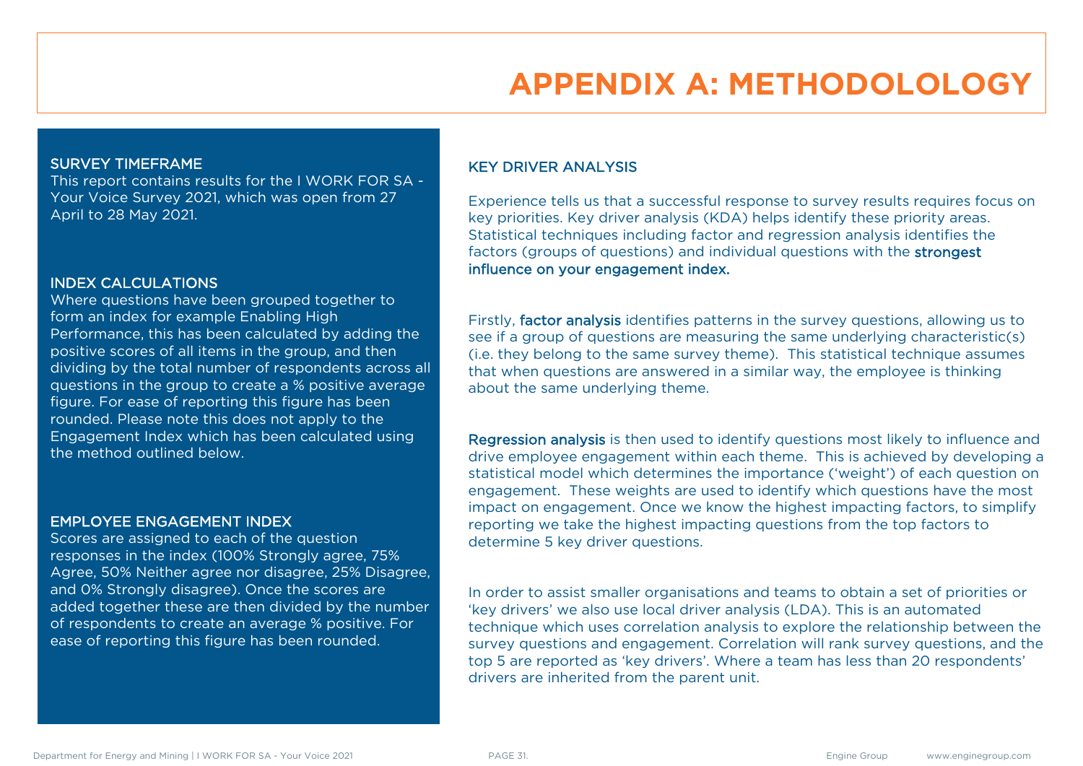# **APPENDIX A: METHODOLOLOGY**

#### SURVEY TIMEFRAME

This report contains results for the I WORK FOR SA - Your Voice Survey 2021, which was open from 27 April to 28 May 2021.

#### INDEX CALCULATIONS

Where questions have been grouped together to form an index for example Enabling High Performance, this has been calculated by adding the positive scores of all items in the group, and then dividing by the total number of respondents across all questions in the group to create a % positive average figure. For ease of reporting this figure has been rounded. Please note this does not apply to the Engagement Index which has been calculated using the method outlined below.

#### EMPLOYEE ENGAGEMENT INDEX

Scores are assigned to each of the question responses in the index (100% Strongly agree, 75% Agree, 50% Neither agree nor disagree, 25% Disagree, and 0% Strongly disagree). Once the scores are added together these are then divided by the number of respondents to create an average % positive. For ease of reporting this figure has been rounded.

### KEY DRIVER ANALYSIS

Experience tells us that a successful response to survey results requires focus on key priorities. Key driver analysis (KDA) helps identify these priority areas. Statistical techniques including factor and regression analysis identifies the factors (groups of questions) and individual questions with the strongest influence on your engagement index.

Firstly, factor analysis identifies patterns in the survey questions, allowing us to see if a group of questions are measuring the same underlying characteristic(s) (i.e. they belong to the same survey theme). This statistical technique assumes that when questions are answered in a similar way, the employee is thinking about the same underlying theme.

Regression analysis is then used to identify questions most likely to influence and drive employee engagement within each theme. This is achieved by developing a statistical model which determines the importance ('weight') of each question on engagement. These weights are used to identify which questions have the most impact on engagement. Once we know the highest impacting factors, to simplify reporting we take the highest impacting questions from the top factors to determine 5 key driver questions.

In order to assist smaller organisations and teams to obtain a set of priorities or 'key drivers' we also use local driver analysis (LDA). This is an automated technique which uses correlation analysis to explore the relationship between the survey questions and engagement. Correlation will rank survey questions, and the top 5 are reported as 'key drivers'. Where a team has less than 20 respondents' drivers are inherited from the parent unit.